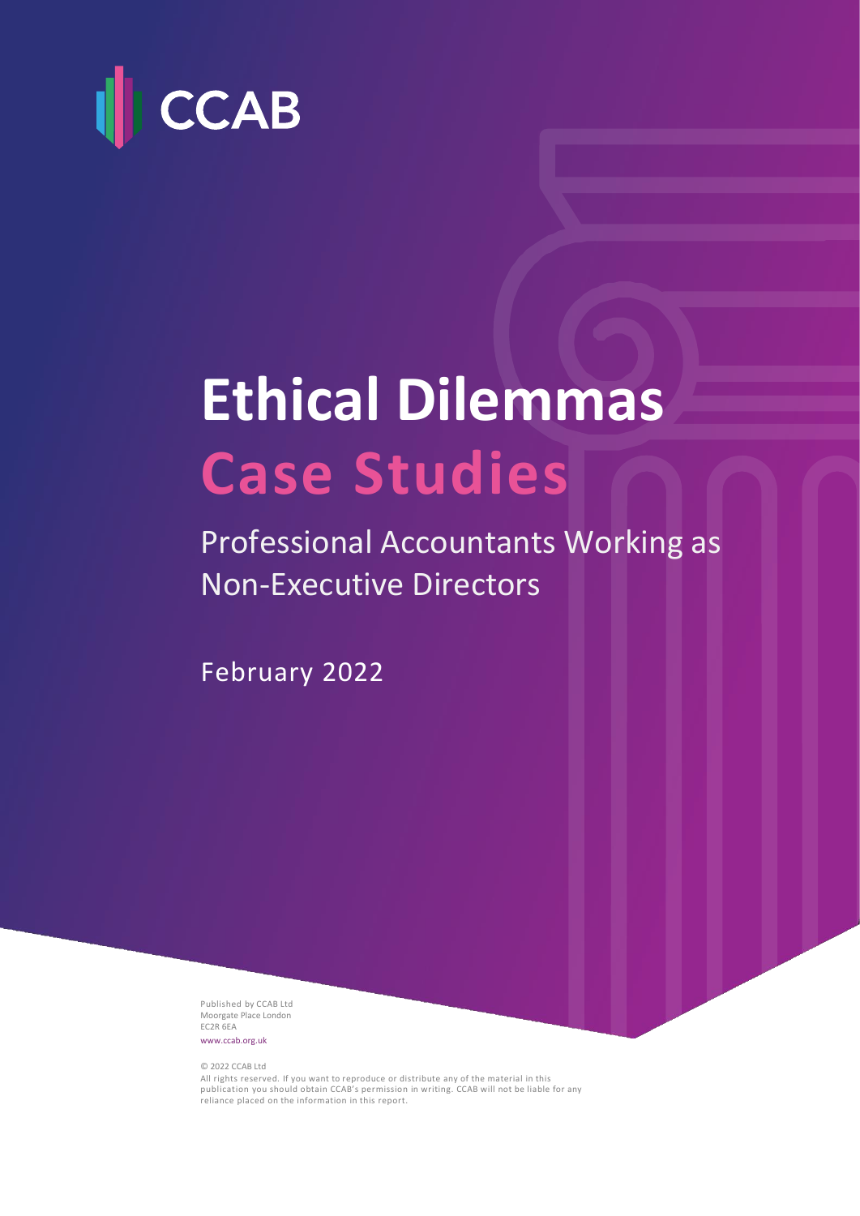

# **Ethical Dilemmas Case Studies**

Professional Accountants Working as Non-Executive Directors

February 2022

Published by CCAB Ltd Moorgate Place London EC2R 6EA [www.ccab.org.uk](http://www.ccab.org.uk/)

© 2022 CCAB Ltd

All rights reserved. If you want to reproduce or distribute any of the material in this publication you should obtain CCAB's permission in writing. CCAB will not be liable for any reliance placed on the information in this report.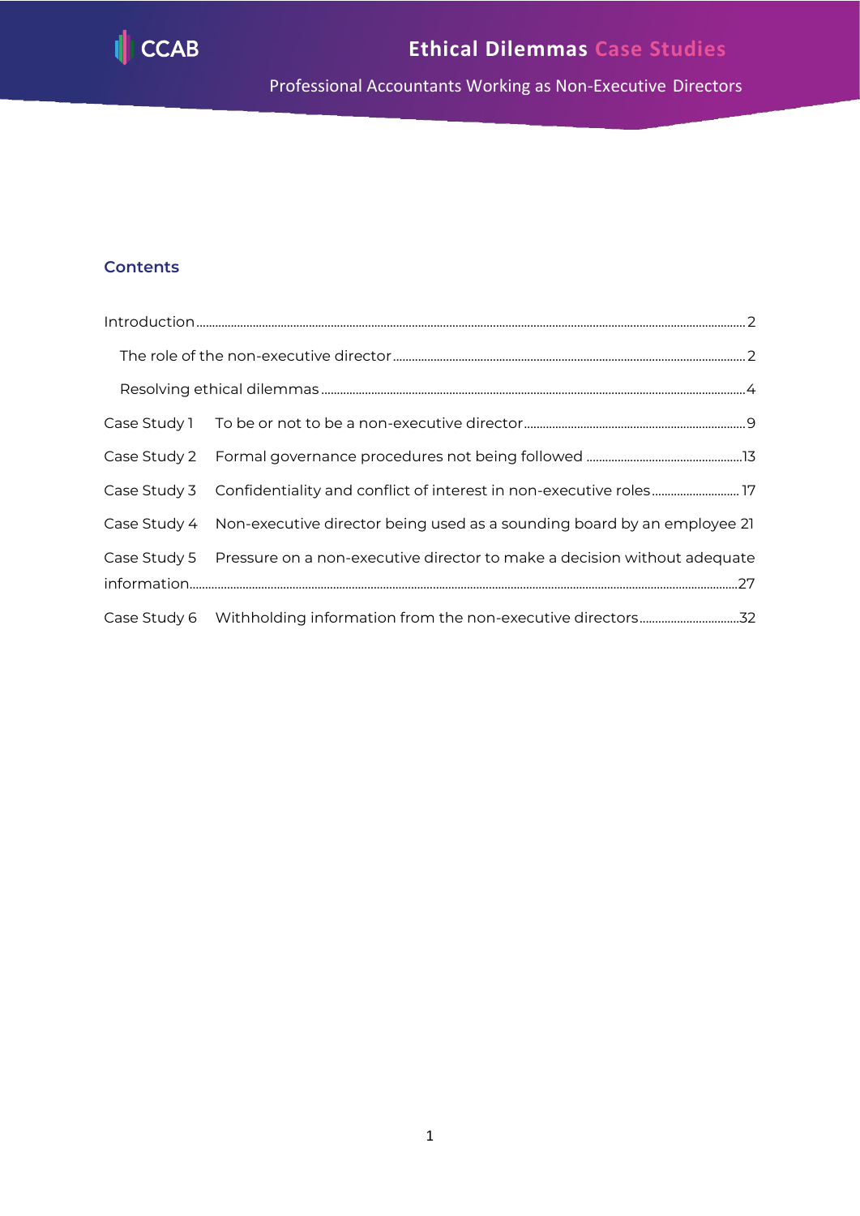

# **Contents**

|  | Case Study 3 Confidentiality and conflict of interest in non-executive roles 17       |
|--|---------------------------------------------------------------------------------------|
|  | Case Study 4 Non-executive director being used as a sounding board by an employee 21  |
|  | Case Study 5 Pressure on a non-executive director to make a decision without adequate |
|  |                                                                                       |
|  | Case Study 6 Withholding information from the non-executive directors32               |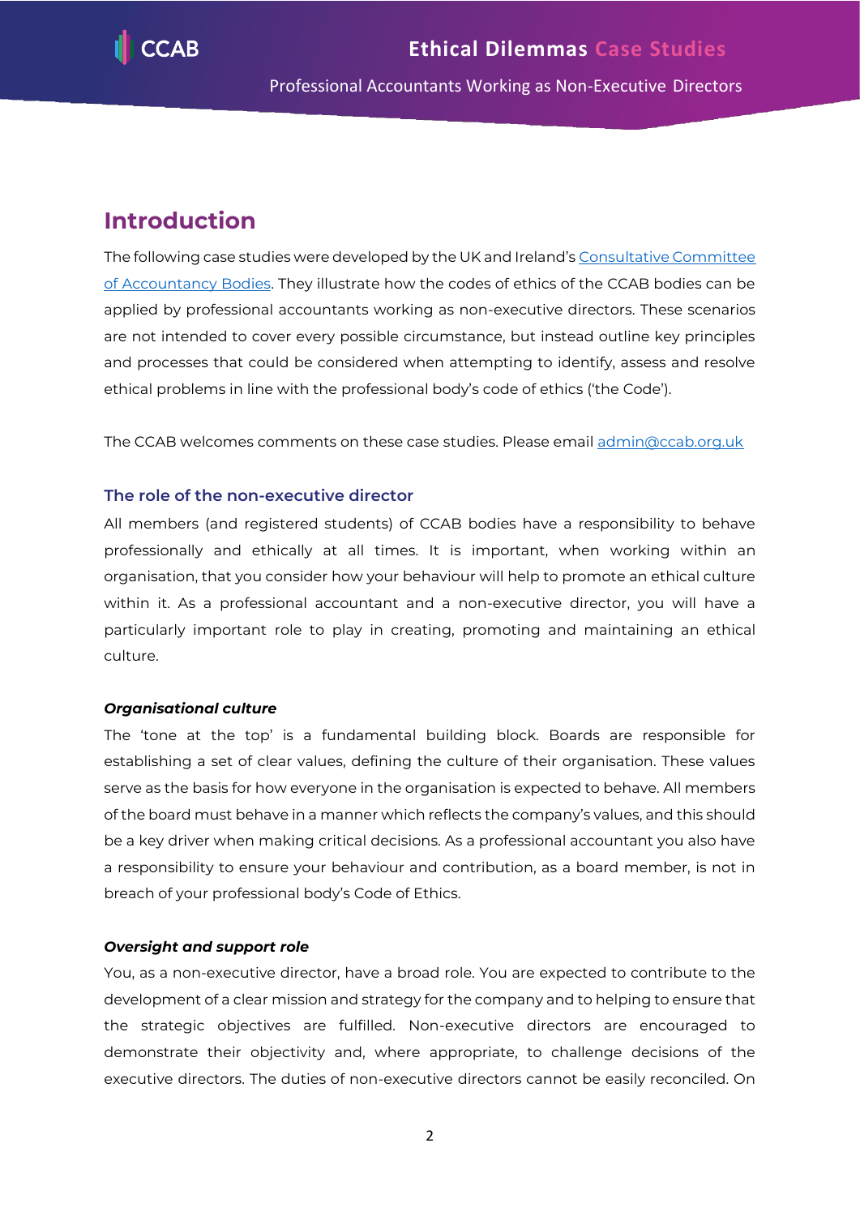

# <span id="page-2-0"></span>**Introduction**

The following case studies were developed by the UK and Ireland's Consultative Committee [of Accountancy Bodies.](http://www.ccab.org.uk/) They illustrate how the codes of ethics of the CCAB bodies can be applied by professional accountants working as non-executive directors. These scenarios are not intended to cover every possible circumstance, but instead outline key principles and processes that could be considered when attempting to identify, assess and resolve ethical problems in line with the professional body's code of ethics ('the Code').

The CCAB welcomes comments on these case studies. Please email [admin@ccab.org.uk](mailto:admin@ccab.org.uk)

## <span id="page-2-1"></span>**The role of the non-executive director**

All members (and registered students) of CCAB bodies have a responsibility to behave professionally and ethically at all times. It is important, when working within an organisation, that you consider how your behaviour will help to promote an ethical culture within it. As a professional accountant and a non-executive director, you will have a particularly important role to play in creating, promoting and maintaining an ethical culture.

#### *Organisational culture*

The 'tone at the top' is a fundamental building block. Boards are responsible for establishing a set of clear values, defining the culture of their organisation. These values serve as the basis for how everyone in the organisation is expected to behave. All members of the board must behave in a manner which reflects the company's values, and this should be a key driver when making critical decisions. As a professional accountant you also have a responsibility to ensure your behaviour and contribution, as a board member, is not in breach of your professional body's Code of Ethics.

#### *Oversight and support role*

You, as a non-executive director, have a broad role. You are expected to contribute to the development of a clear mission and strategy for the company and to helping to ensure that the strategic objectives are fulfilled. Non-executive directors are encouraged to demonstrate their objectivity and, where appropriate, to challenge decisions of the executive directors. The duties of non-executive directors cannot be easily reconciled. On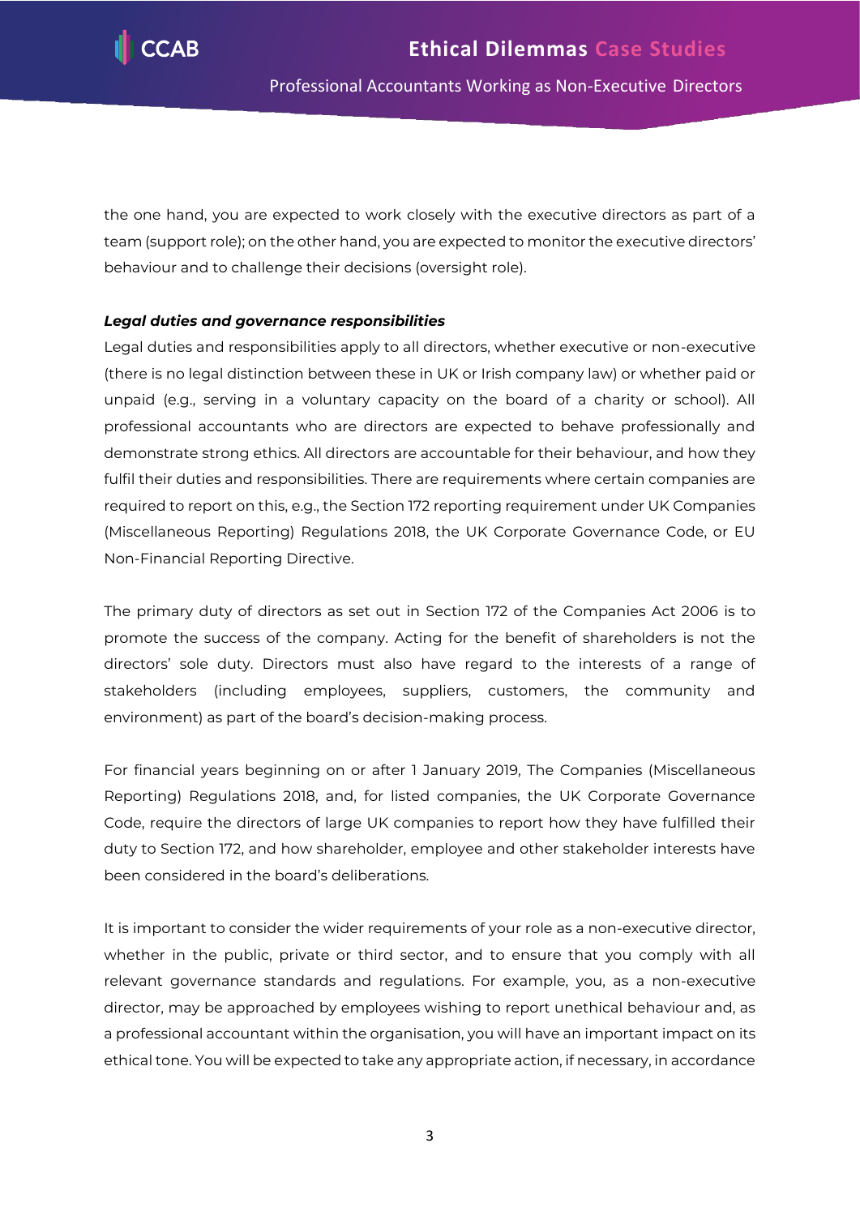

the one hand, you are expected to work closely with the executive directors as part of a team (support role); on the other hand, you are expected to monitor the executive directors' behaviour and to challenge their decisions (oversight role).

#### *Legal duties and governance responsibilities*

Legal duties and responsibilities apply to all directors, whether executive or non-executive (there is no legal distinction between these in UK or Irish company law) or whether paid or unpaid (e.g., serving in a voluntary capacity on the board of a charity or school). All professional accountants who are directors are expected to behave professionally and demonstrate strong ethics. All directors are accountable for their behaviour, and how they fulfil their duties and responsibilities. There are requirements where certain companies are required to report on this, e.g., the Section 172 reporting requirement under UK Companies (Miscellaneous Reporting) Regulations 2018, the UK Corporate Governance Code, or EU Non-Financial Reporting Directive.

The primary duty of directors as set out in Section 172 of the Companies Act 2006 is to promote the success of the company. Acting for the benefit of shareholders is not the directors' sole duty. Directors must also have regard to the interests of a range of stakeholders (including employees, suppliers, customers, the community and environment) as part of the board's decision-making process.

For financial years beginning on or after 1 January 2019, The Companies (Miscellaneous Reporting) Regulations 2018, and, for listed companies, the UK Corporate Governance Code, require the directors of large UK companies to report how they have fulfilled their duty to Section 172, and how shareholder, employee and other stakeholder interests have been considered in the board's deliberations.

It is important to consider the wider requirements of your role as a non-executive director, whether in the public, private or third sector, and to ensure that you comply with all relevant governance standards and regulations. For example, you, as a non-executive director, may be approached by employees wishing to report unethical behaviour and, as a professional accountant within the organisation, you will have an important impact on its ethical tone. You will be expected to take any appropriate action, if necessary, in accordance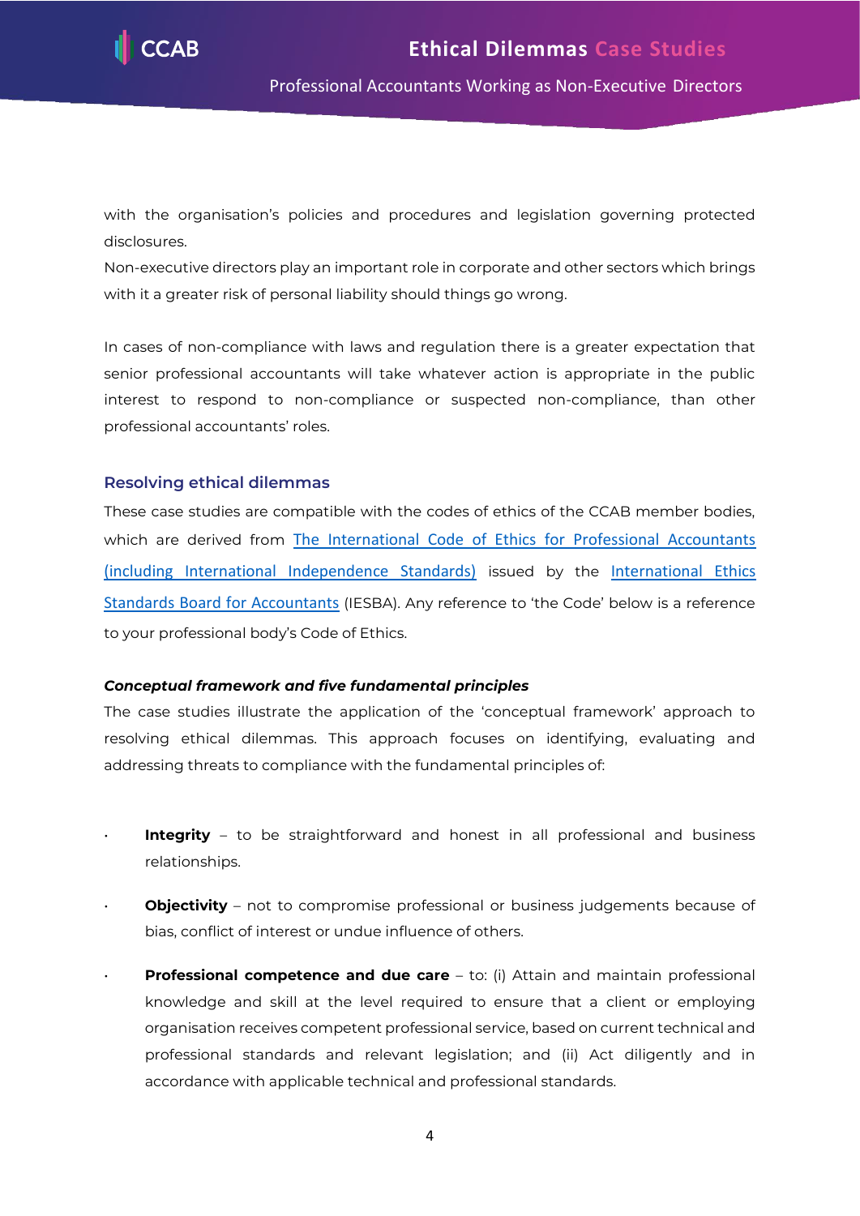

with the organisation's policies and procedures and legislation governing protected disclosures.

Non-executive directors play an important role in corporate and other sectors which brings with it a greater risk of personal liability should things go wrong.

In cases of non-compliance with laws and regulation there is a greater expectation that senior professional accountants will take whatever action is appropriate in the public interest to respond to non-compliance or suspected non-compliance, than other professional accountants' roles.

#### <span id="page-4-0"></span>**Resolving ethical dilemmas**

These case studies are compatible with the codes of ethics of the CCAB member bodies, which are derived from The International Code of Ethics for Professional Accountants [\(including International Independence Standards\)](https://www.ethicsboard.org/international-code-ethics-professional-accountants) issued by the [International Ethics](https://www.ethicsboard.org/)  [Standards Board for Accountants](https://www.ethicsboard.org/) (IESBA). Any reference to 'the Code' below is a reference to your professional body's Code of Ethics.

#### *Conceptual framework and five fundamental principles*

The case studies illustrate the application of the 'conceptual framework' approach to resolving ethical dilemmas. This approach focuses on identifying, evaluating and addressing threats to compliance with the fundamental principles of:

- **Integrity** to be straightforward and honest in all professional and business relationships.
- **Objectivity** not to compromise professional or business judgements because of bias, conflict of interest or undue influence of others.
- **Professional competence and due care** to: (i) Attain and maintain professional knowledge and skill at the level required to ensure that a client or employing organisation receives competent professional service, based on current technical and professional standards and relevant legislation; and (ii) Act diligently and in accordance with applicable technical and professional standards.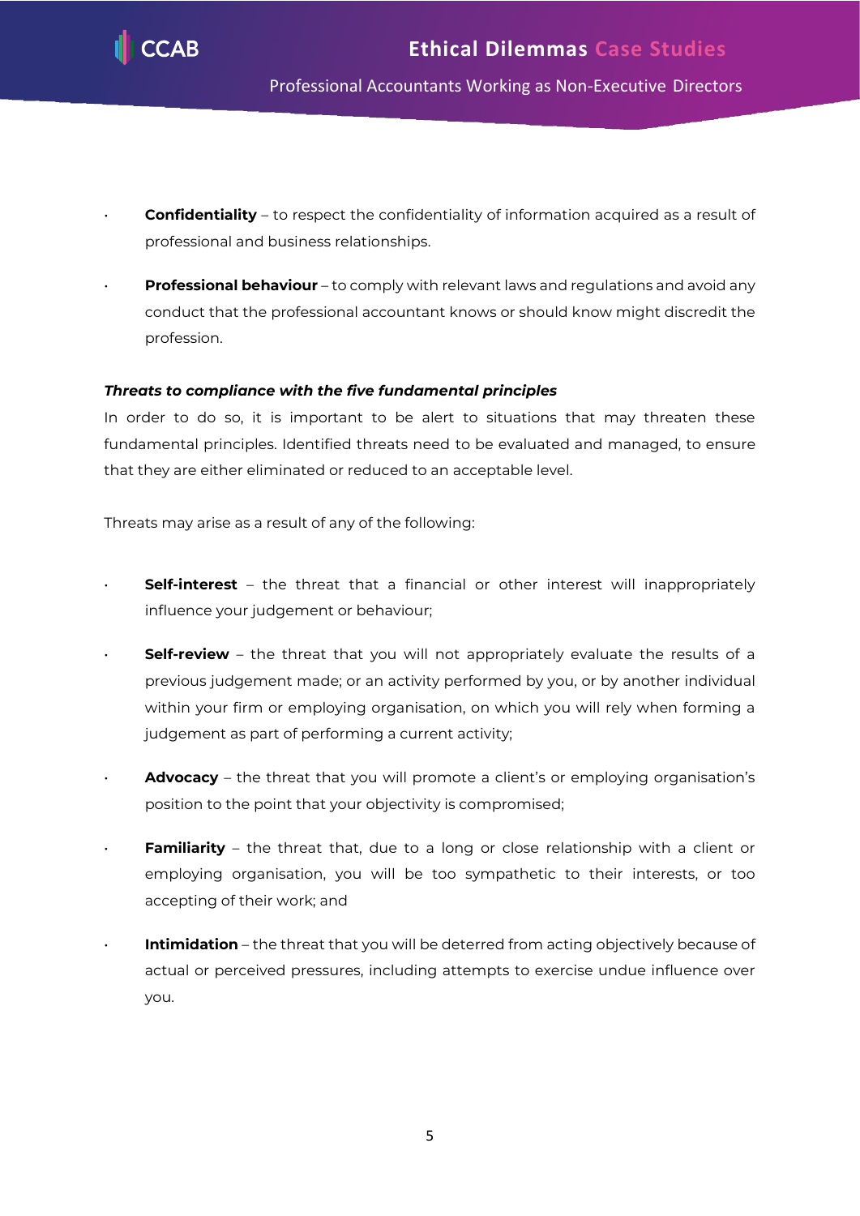

- **Confidentiality** to respect the confidentiality of information acquired as a result of professional and business relationships.
- **Professional behaviour** to comply with relevant laws and regulations and avoid any conduct that the professional accountant knows or should know might discredit the profession.

## *Threats to compliance with the five fundamental principles*

In order to do so, it is important to be alert to situations that may threaten these fundamental principles. Identified threats need to be evaluated and managed, to ensure that they are either eliminated or reduced to an acceptable level.

Threats may arise as a result of any of the following:

- **Self-interest** the threat that a financial or other interest will inappropriately influence your judgement or behaviour;
- **Self-review** the threat that you will not appropriately evaluate the results of a previous judgement made; or an activity performed by you, or by another individual within your firm or employing organisation, on which you will rely when forming a judgement as part of performing a current activity;
- **Advocacy** the threat that you will promote a client's or employing organisation's position to the point that your objectivity is compromised;
- **Familiarity** the threat that, due to a long or close relationship with a client or employing organisation, you will be too sympathetic to their interests, or too accepting of their work; and
- **Intimidation** the threat that you will be deterred from acting objectively because of actual or perceived pressures, including attempts to exercise undue influence over you.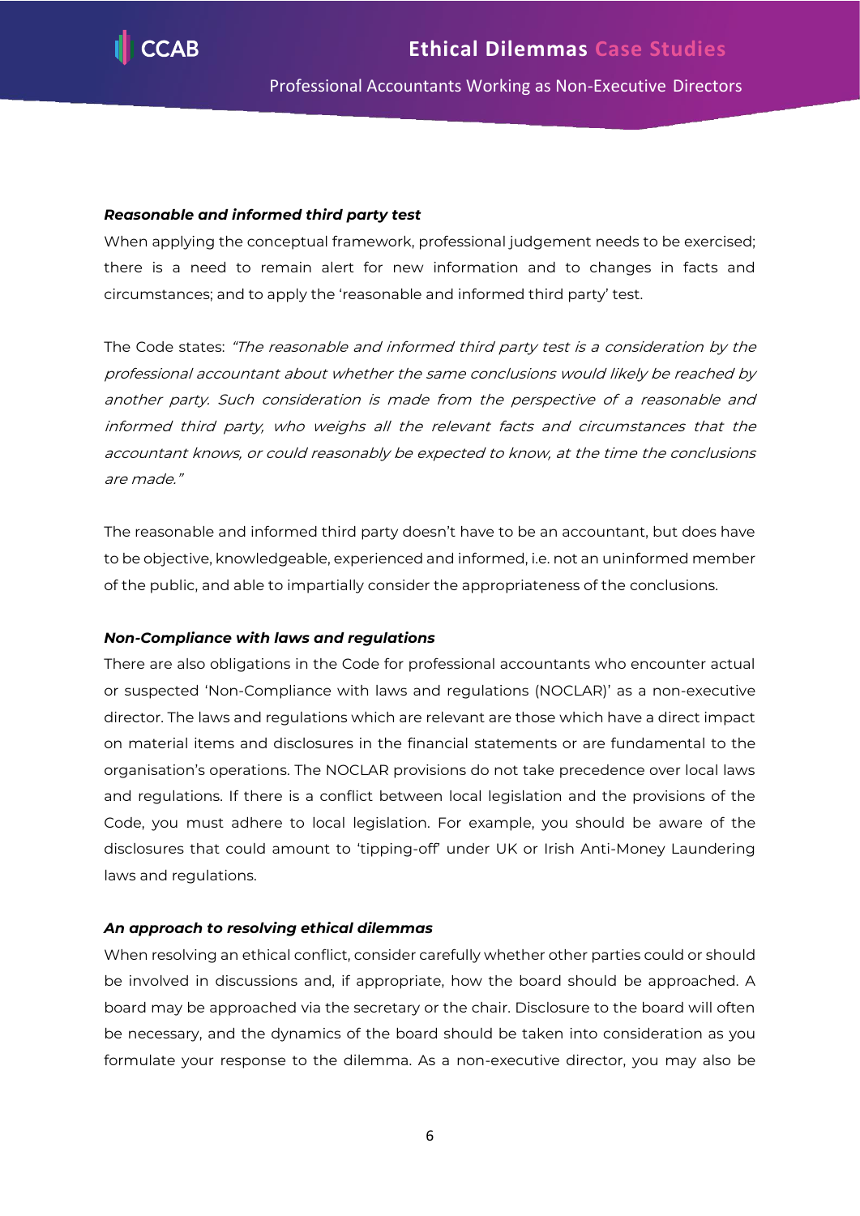

#### *Reasonable and informed third party test*

When applying the conceptual framework, professional judgement needs to be exercised; there is a need to remain alert for new information and to changes in facts and circumstances; and to apply the 'reasonable and informed third party' test.

The Code states: "The reasonable and informed third party test is a consideration by the professional accountant about whether the same conclusions would likely be reached by another party. Such consideration is made from the perspective of a reasonable and informed third party, who weighs all the relevant facts and circumstances that the accountant knows, or could reasonably be expected to know, at the time the conclusions are made."

The reasonable and informed third party doesn't have to be an accountant, but does have to be objective, knowledgeable, experienced and informed, i.e. not an uninformed member of the public, and able to impartially consider the appropriateness of the conclusions.

#### *Non-Compliance with laws and regulations*

There are also obligations in the Code for professional accountants who encounter actual or suspected 'Non-Compliance with laws and regulations (NOCLAR)' as a non-executive director. The laws and regulations which are relevant are those which have a direct impact on material items and disclosures in the financial statements or are fundamental to the organisation's operations. The NOCLAR provisions do not take precedence over local laws and regulations. If there is a conflict between local legislation and the provisions of the Code, you must adhere to local legislation. For example, you should be aware of the disclosures that could amount to 'tipping-off' under UK or Irish Anti-Money Laundering laws and regulations.

#### *An approach to resolving ethical dilemmas*

When resolving an ethical conflict, consider carefully whether other parties could or should be involved in discussions and, if appropriate, how the board should be approached. A board may be approached via the secretary or the chair. Disclosure to the board will often be necessary, and the dynamics of the board should be taken into consideration as you formulate your response to the dilemma. As a non-executive director, you may also be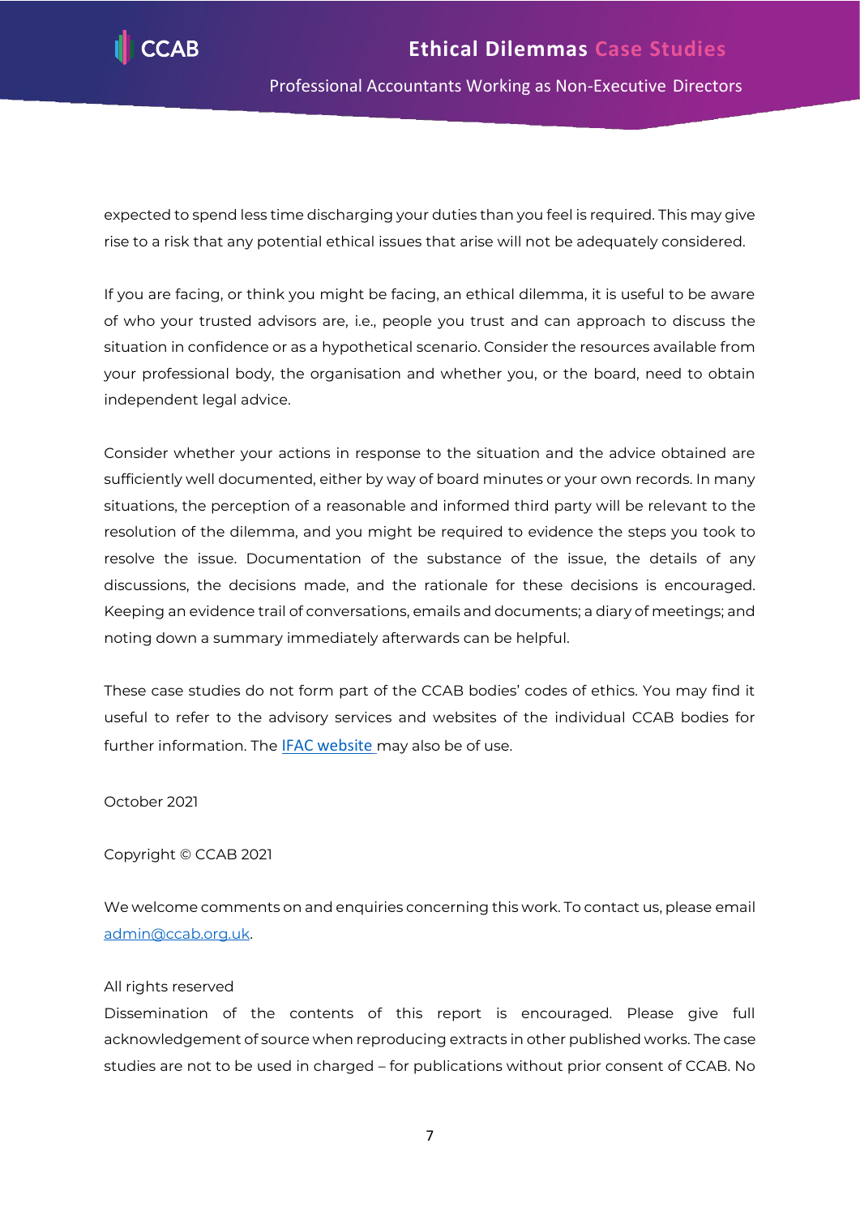

expected to spend less time discharging your duties than you feel is required. This may give rise to a risk that any potential ethical issues that arise will not be adequately considered.

If you are facing, or think you might be facing, an ethical dilemma, it is useful to be aware of who your trusted advisors are, i.e., people you trust and can approach to discuss the situation in confidence or as a hypothetical scenario. Consider the resources available from your professional body, the organisation and whether you, or the board, need to obtain independent legal advice.

Consider whether your actions in response to the situation and the advice obtained are sufficiently well documented, either by way of board minutes or your own records. In many situations, the perception of a reasonable and informed third party will be relevant to the resolution of the dilemma, and you might be required to evidence the steps you took to resolve the issue. Documentation of the substance of the issue, the details of any discussions, the decisions made, and the rationale for these decisions is encouraged. Keeping an evidence trail of conversations, emails and documents; a diary of meetings; and noting down a summary immediately afterwards can be helpful.

These case studies do not form part of the CCAB bodies' codes of ethics. You may find it useful to refer to the advisory services and websites of the individual CCAB bodies for further information. The **[IFAC website](https://www.ifac.org/)** may also be of use.

October 2021

Copyright © CCAB 2021

We welcome comments on and enquiries concerning this work. To contact us, please email [admin@ccab.org.uk.](mailto:admin@ccab.org.uk)

#### All rights reserved

Dissemination of the contents of this report is encouraged. Please give full acknowledgement of source when reproducing extracts in other published works. The case studies are not to be used in charged – for publications without prior consent of CCAB. No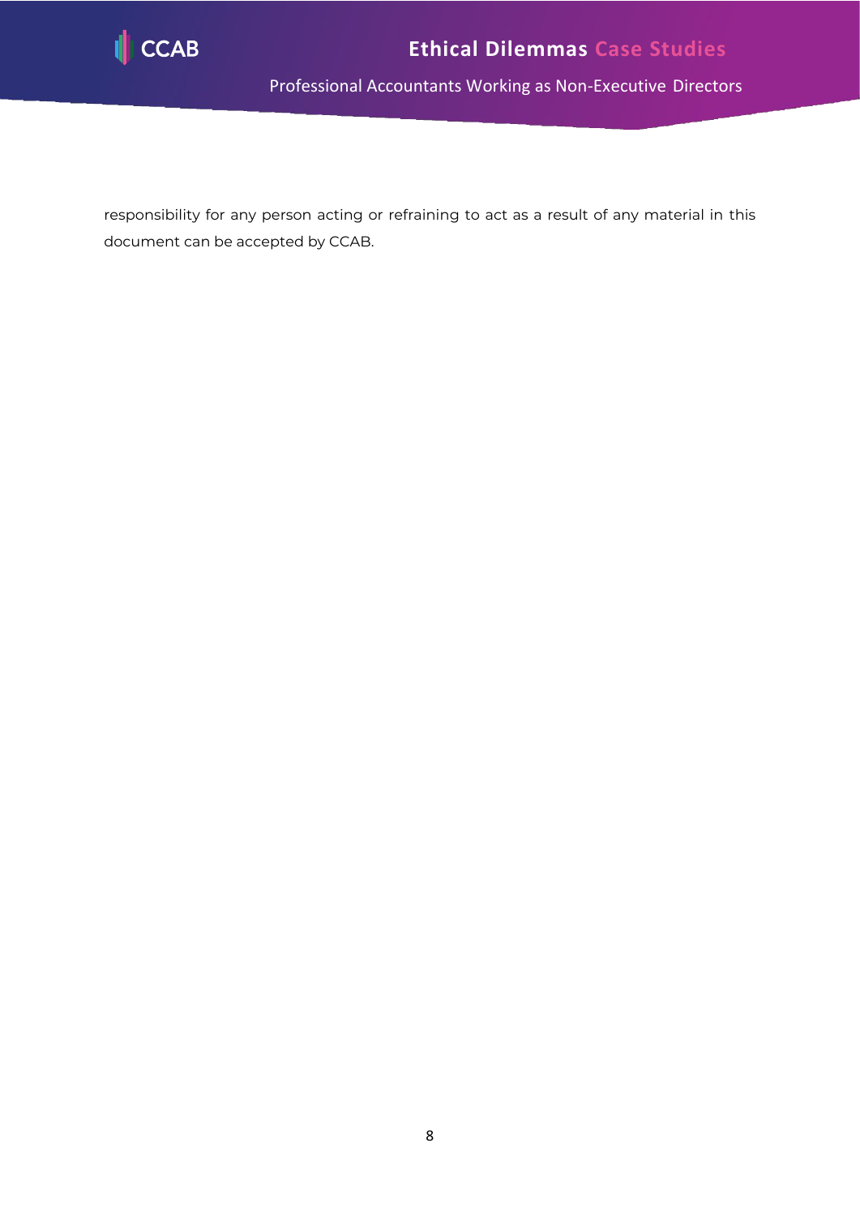

responsibility for any person acting or refraining to act as a result of any material in this document can be accepted by CCAB.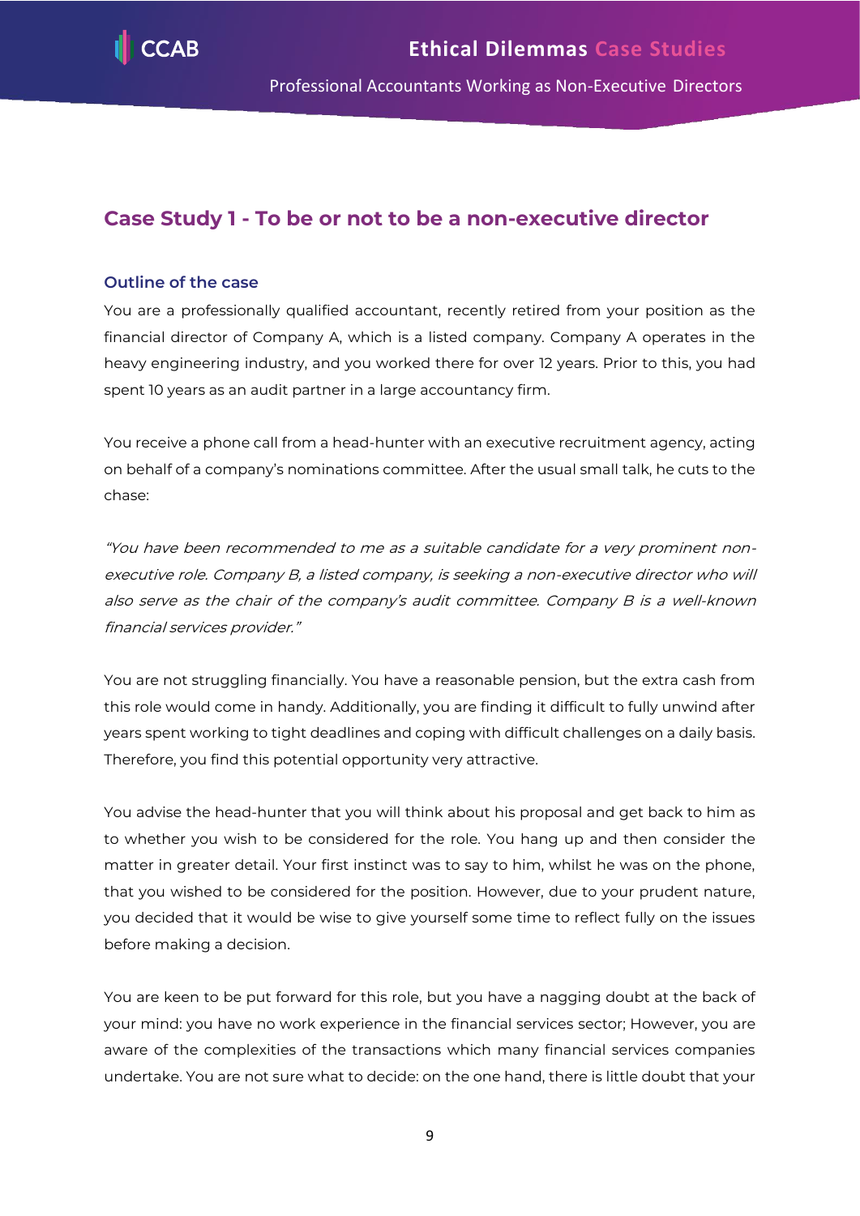

# <span id="page-9-0"></span>**Case Study 1 - To be or not to be a non-executive director**

# **Outline of the case**

You are a professionally qualified accountant, recently retired from your position as the financial director of Company A, which is a listed company. Company A operates in the heavy engineering industry, and you worked there for over 12 years. Prior to this, you had spent 10 years as an audit partner in a large accountancy firm.

You receive a phone call from a head-hunter with an executive recruitment agency, acting on behalf of a company's nominations committee. After the usual small talk, he cuts to the chase:

"You have been recommended to me as a suitable candidate for a very prominent nonexecutive role. Company B, a listed company, is seeking a non-executive director who will also serve as the chair of the company's audit committee. Company B is a well-known financial services provider."

You are not struggling financially. You have a reasonable pension, but the extra cash from this role would come in handy. Additionally, you are finding it difficult to fully unwind after years spent working to tight deadlines and coping with difficult challenges on a daily basis. Therefore, you find this potential opportunity very attractive.

You advise the head-hunter that you will think about his proposal and get back to him as to whether you wish to be considered for the role. You hang up and then consider the matter in greater detail. Your first instinct was to say to him, whilst he was on the phone, that you wished to be considered for the position. However, due to your prudent nature, you decided that it would be wise to give yourself some time to reflect fully on the issues before making a decision.

You are keen to be put forward for this role, but you have a nagging doubt at the back of your mind: you have no work experience in the financial services sector; However, you are aware of the complexities of the transactions which many financial services companies undertake. You are not sure what to decide: on the one hand, there is little doubt that your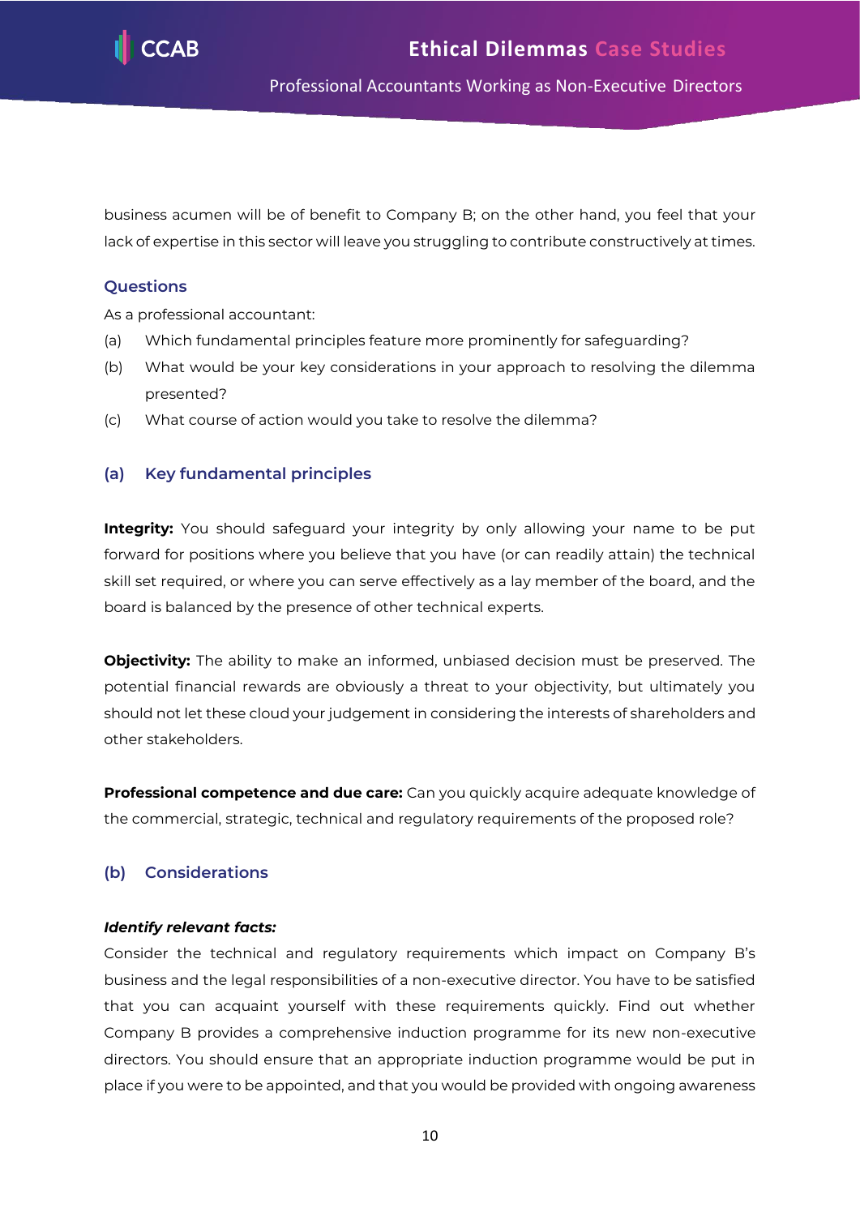

business acumen will be of benefit to Company B; on the other hand, you feel that your lack of expertise in this sector will leave you struggling to contribute constructively at times.

# **Questions**

As a professional accountant:

- (a) Which fundamental principles feature more prominently for safeguarding?
- (b) What would be your key considerations in your approach to resolving the dilemma presented?
- (c) What course of action would you take to resolve the dilemma?

# **(a) Key fundamental principles**

**Integrity:** You should safeguard your integrity by only allowing your name to be put forward for positions where you believe that you have (or can readily attain) the technical skill set required, or where you can serve effectively as a lay member of the board, and the board is balanced by the presence of other technical experts.

**Objectivity:** The ability to make an informed, unbiased decision must be preserved. The potential financial rewards are obviously a threat to your objectivity, but ultimately you should not let these cloud your judgement in considering the interests of shareholders and other stakeholders.

**Professional competence and due care:** Can you quickly acquire adequate knowledge of the commercial, strategic, technical and regulatory requirements of the proposed role?

# **(b) Considerations**

#### *Identify relevant facts:*

Consider the technical and regulatory requirements which impact on Company B's business and the legal responsibilities of a non-executive director. You have to be satisfied that you can acquaint yourself with these requirements quickly. Find out whether Company B provides a comprehensive induction programme for its new non-executive directors. You should ensure that an appropriate induction programme would be put in place if you were to be appointed, and that you would be provided with ongoing awareness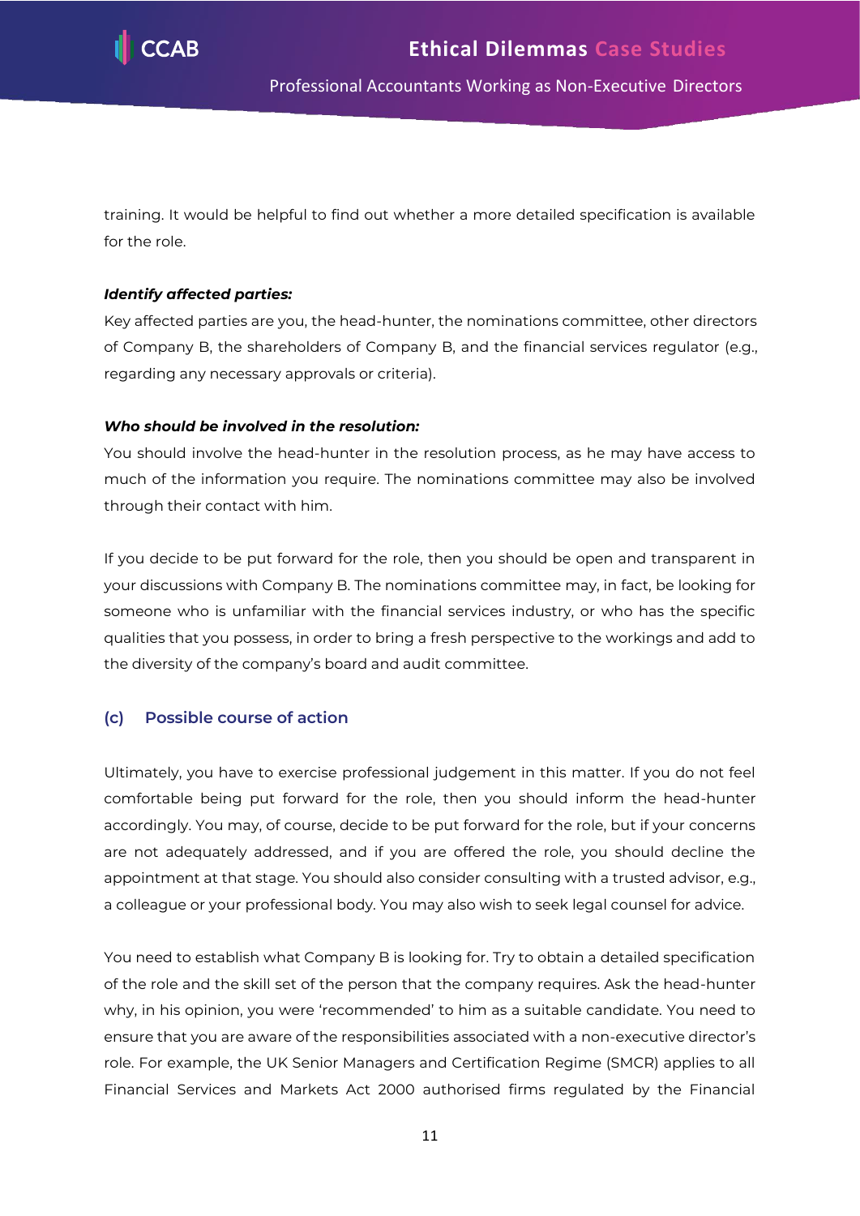

training. It would be helpful to find out whether a more detailed specification is available for the role.

#### *Identify affected parties:*

Key affected parties are you, the head-hunter, the nominations committee, other directors of Company B, the shareholders of Company B, and the financial services regulator (e.g., regarding any necessary approvals or criteria).

#### *Who should be involved in the resolution:*

You should involve the head-hunter in the resolution process, as he may have access to much of the information you require. The nominations committee may also be involved through their contact with him.

If you decide to be put forward for the role, then you should be open and transparent in your discussions with Company B. The nominations committee may, in fact, be looking for someone who is unfamiliar with the financial services industry, or who has the specific qualities that you possess, in order to bring a fresh perspective to the workings and add to the diversity of the company's board and audit committee.

# **(c) Possible course of action**

Ultimately, you have to exercise professional judgement in this matter. If you do not feel comfortable being put forward for the role, then you should inform the head-hunter accordingly. You may, of course, decide to be put forward for the role, but if your concerns are not adequately addressed, and if you are offered the role, you should decline the appointment at that stage. You should also consider consulting with a trusted advisor, e.g., a colleague or your professional body. You may also wish to seek legal counsel for advice.

You need to establish what Company B is looking for. Try to obtain a detailed specification of the role and the skill set of the person that the company requires. Ask the head-hunter why, in his opinion, you were 'recommended' to him as a suitable candidate. You need to ensure that you are aware of the responsibilities associated with a non-executive director's role. For example, the UK Senior Managers and Certification Regime (SMCR) applies to all Financial Services and Markets Act 2000 authorised firms regulated by the Financial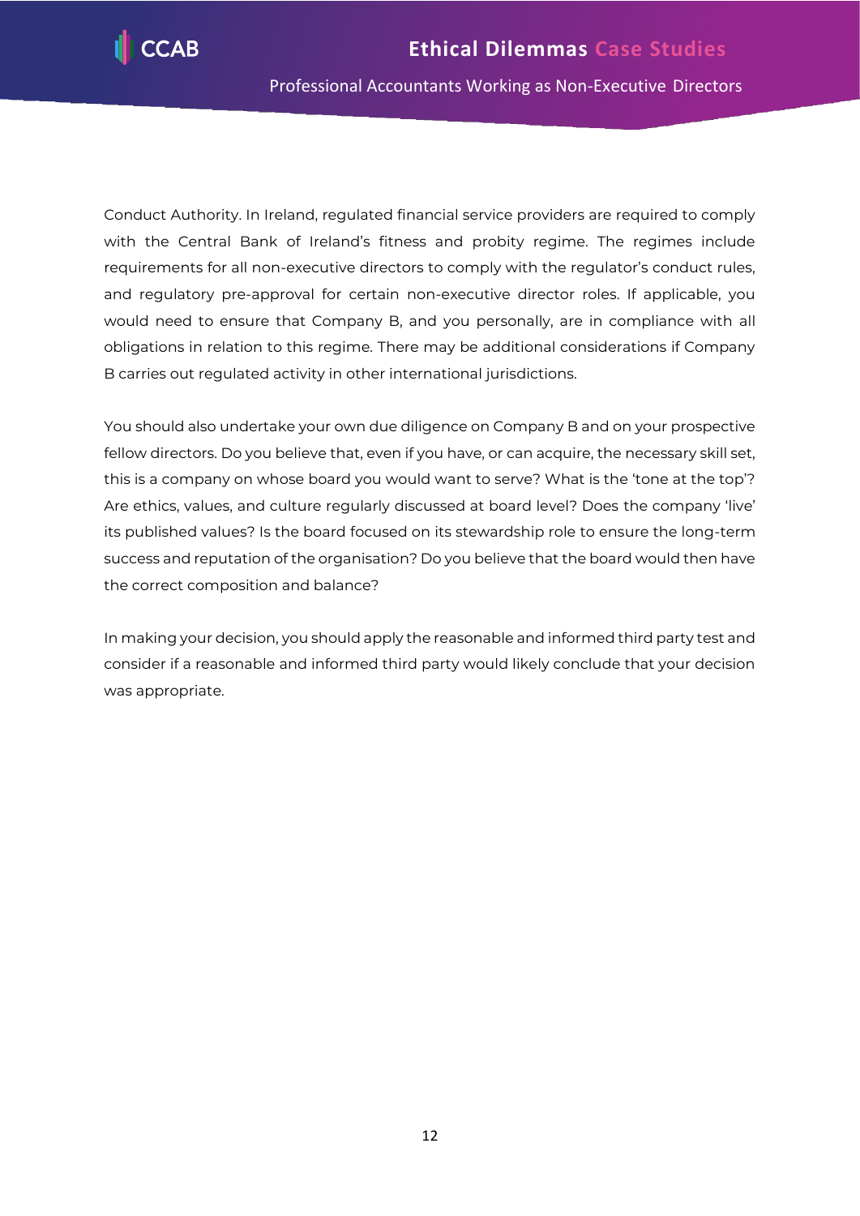

Conduct Authority. In Ireland, regulated financial service providers are required to comply with the Central Bank of Ireland's fitness and probity regime. The regimes include requirements for all non-executive directors to comply with the regulator's conduct rules, and regulatory pre-approval for certain non-executive director roles. If applicable, you would need to ensure that Company B, and you personally, are in compliance with all obligations in relation to this regime. There may be additional considerations if Company B carries out regulated activity in other international jurisdictions.

You should also undertake your own due diligence on Company B and on your prospective fellow directors. Do you believe that, even if you have, or can acquire, the necessary skill set, this is a company on whose board you would want to serve? What is the 'tone at the top'? Are ethics, values, and culture regularly discussed at board level? Does the company 'live' its published values? Is the board focused on its stewardship role to ensure the long-term success and reputation of the organisation? Do you believe that the board would then have the correct composition and balance?

In making your decision, you should apply the reasonable and informed third party test and consider if a reasonable and informed third party would likely conclude that your decision was appropriate.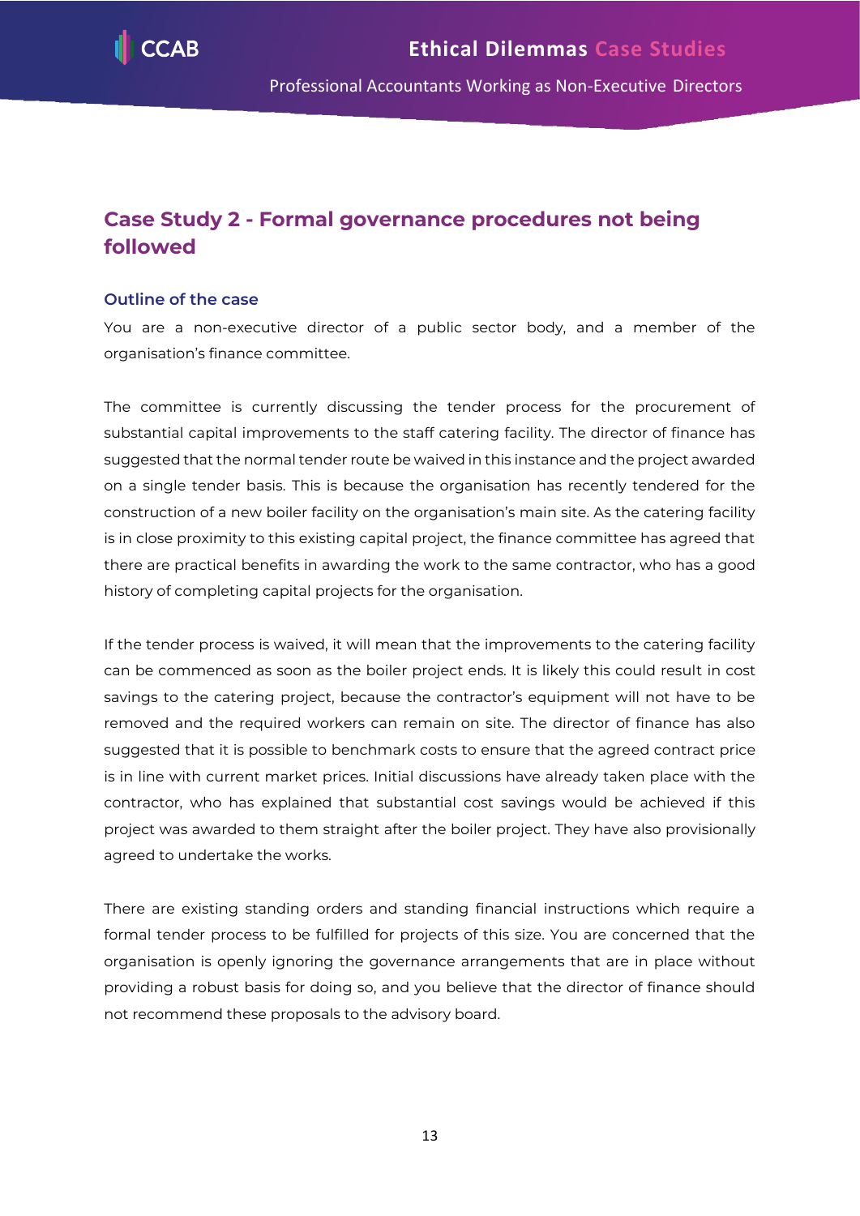

# <span id="page-13-0"></span>**Case Study 2 - Formal governance procedures not being followed**

#### **Outline of the case**

You are a non-executive director of a public sector body, and a member of the organisation's finance committee.

The committee is currently discussing the tender process for the procurement of substantial capital improvements to the staff catering facility. The director of finance has suggested that the normal tender route be waived in this instance and the project awarded on a single tender basis. This is because the organisation has recently tendered for the construction of a new boiler facility on the organisation's main site. As the catering facility is in close proximity to this existing capital project, the finance committee has agreed that there are practical benefits in awarding the work to the same contractor, who has a good history of completing capital projects for the organisation.

If the tender process is waived, it will mean that the improvements to the catering facility can be commenced as soon as the boiler project ends. It is likely this could result in cost savings to the catering project, because the contractor's equipment will not have to be removed and the required workers can remain on site. The director of finance has also suggested that it is possible to benchmark costs to ensure that the agreed contract price is in line with current market prices. Initial discussions have already taken place with the contractor, who has explained that substantial cost savings would be achieved if this project was awarded to them straight after the boiler project. They have also provisionally agreed to undertake the works.

There are existing standing orders and standing financial instructions which require a formal tender process to be fulfilled for projects of this size. You are concerned that the organisation is openly ignoring the governance arrangements that are in place without providing a robust basis for doing so, and you believe that the director of finance should not recommend these proposals to the advisory board.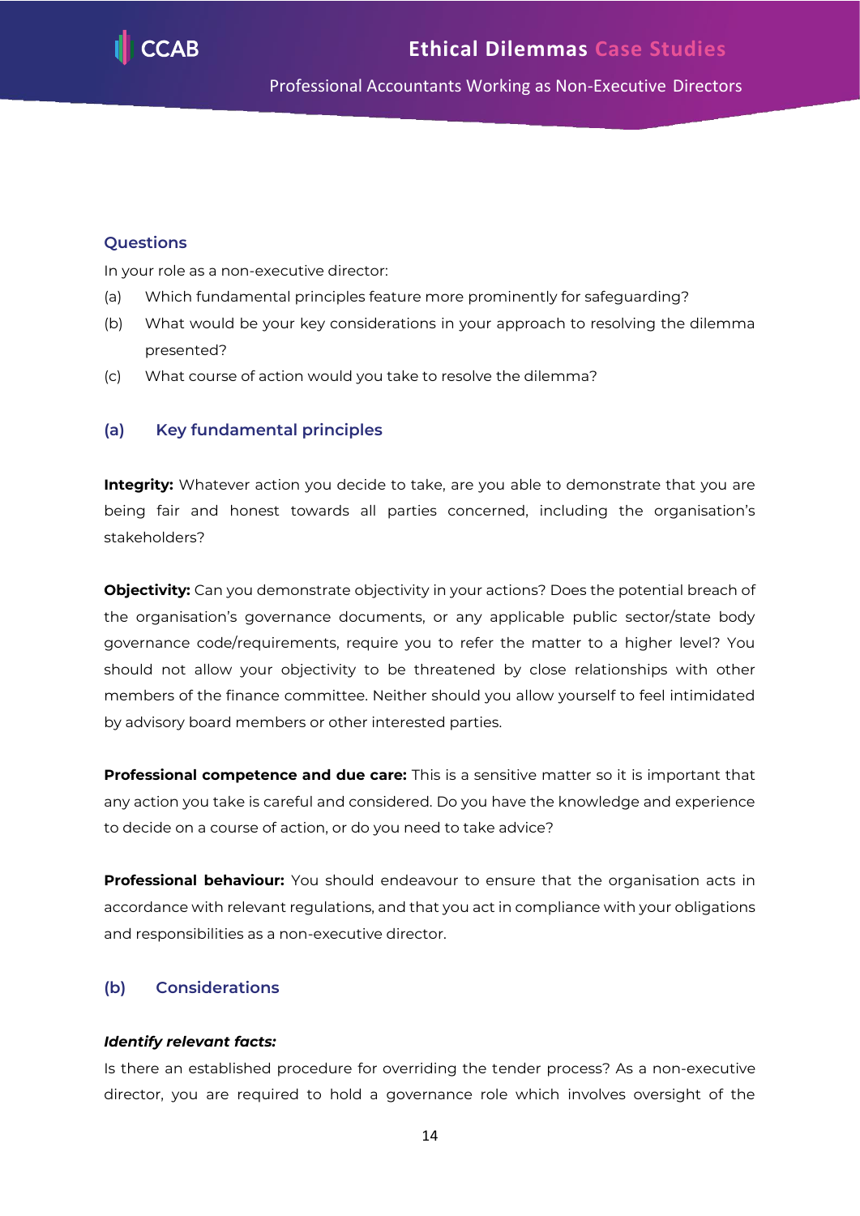

## **Questions**

In your role as a non-executive director:

- (a) Which fundamental principles feature more prominently for safeguarding?
- (b) What would be your key considerations in your approach to resolving the dilemma presented?
- (c) What course of action would you take to resolve the dilemma?

# **(a) Key fundamental principles**

**Integrity:** Whatever action you decide to take, are you able to demonstrate that you are being fair and honest towards all parties concerned, including the organisation's stakeholders?

**Objectivity:** Can you demonstrate objectivity in your actions? Does the potential breach of the organisation's governance documents, or any applicable public sector/state body governance code/requirements, require you to refer the matter to a higher level? You should not allow your objectivity to be threatened by close relationships with other members of the finance committee. Neither should you allow yourself to feel intimidated by advisory board members or other interested parties.

**Professional competence and due care:** This is a sensitive matter so it is important that any action you take is careful and considered. Do you have the knowledge and experience to decide on a course of action, or do you need to take advice?

**Professional behaviour:** You should endeavour to ensure that the organisation acts in accordance with relevant regulations, and that you act in compliance with your obligations and responsibilities as a non-executive director.

# **(b) Considerations**

#### *Identify relevant facts:*

Is there an established procedure for overriding the tender process? As a non-executive director, you are required to hold a governance role which involves oversight of the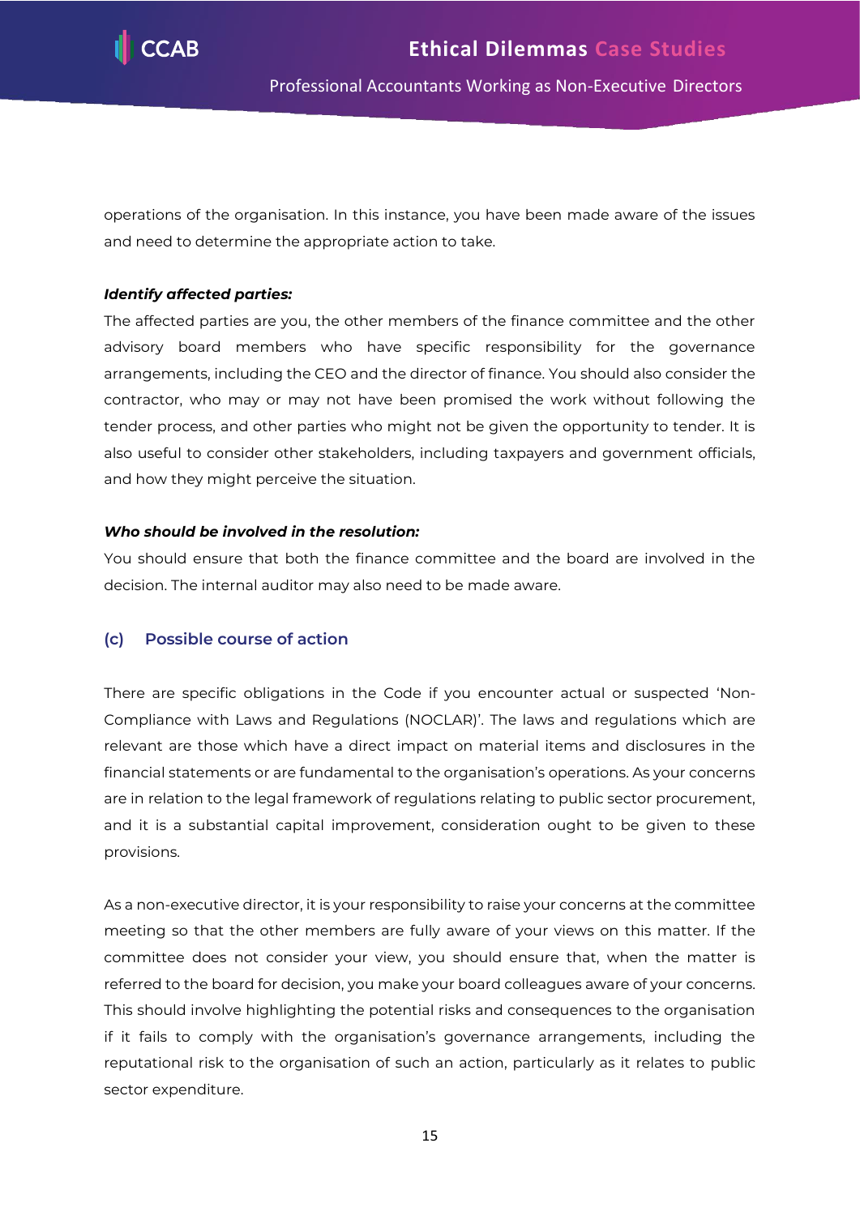

operations of the organisation. In this instance, you have been made aware of the issues and need to determine the appropriate action to take.

#### *Identify affected parties:*

The affected parties are you, the other members of the finance committee and the other advisory board members who have specific responsibility for the governance arrangements, including the CEO and the director of finance. You should also consider the contractor, who may or may not have been promised the work without following the tender process, and other parties who might not be given the opportunity to tender. It is also useful to consider other stakeholders, including taxpayers and government officials, and how they might perceive the situation.

#### *Who should be involved in the resolution:*

You should ensure that both the finance committee and the board are involved in the decision. The internal auditor may also need to be made aware.

#### **(c) Possible course of action**

There are specific obligations in the Code if you encounter actual or suspected 'Non-Compliance with Laws and Regulations (NOCLAR)'. The laws and regulations which are relevant are those which have a direct impact on material items and disclosures in the financial statements or are fundamental to the organisation's operations. As your concerns are in relation to the legal framework of regulations relating to public sector procurement, and it is a substantial capital improvement, consideration ought to be given to these provisions.

As a non-executive director, it is your responsibility to raise your concerns at the committee meeting so that the other members are fully aware of your views on this matter. If the committee does not consider your view, you should ensure that, when the matter is referred to the board for decision, you make your board colleagues aware of your concerns. This should involve highlighting the potential risks and consequences to the organisation if it fails to comply with the organisation's governance arrangements, including the reputational risk to the organisation of such an action, particularly as it relates to public sector expenditure.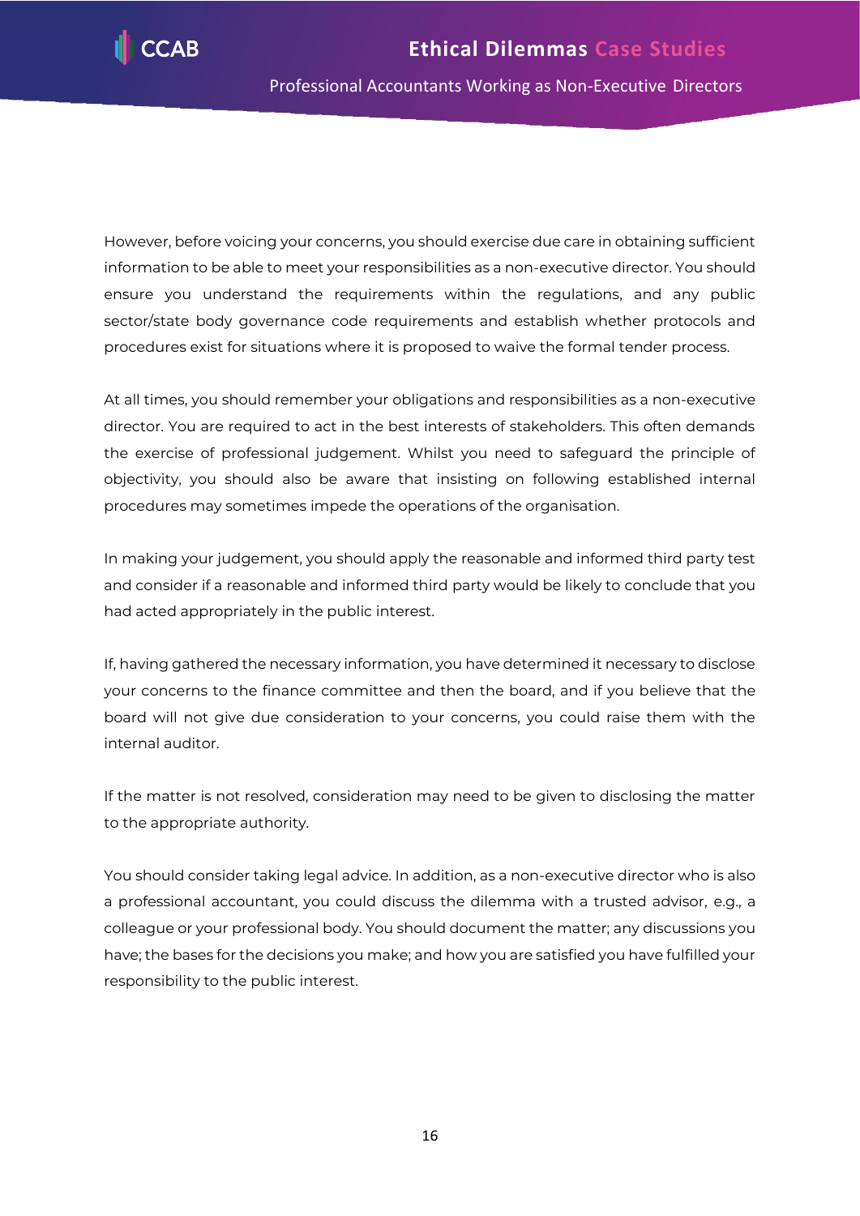

However, before voicing your concerns, you should exercise due care in obtaining sufficient information to be able to meet your responsibilities as a non-executive director. You should ensure you understand the requirements within the regulations, and any public sector/state body governance code requirements and establish whether protocols and procedures exist for situations where it is proposed to waive the formal tender process.

At all times, you should remember your obligations and responsibilities as a non-executive director. You are required to act in the best interests of stakeholders. This often demands the exercise of professional judgement. Whilst you need to safeguard the principle of objectivity, you should also be aware that insisting on following established internal procedures may sometimes impede the operations of the organisation.

In making your judgement, you should apply the reasonable and informed third party test and consider if a reasonable and informed third party would be likely to conclude that you had acted appropriately in the public interest.

If, having gathered the necessary information, you have determined it necessary to disclose your concerns to the finance committee and then the board, and if you believe that the board will not give due consideration to your concerns, you could raise them with the internal auditor.

If the matter is not resolved, consideration may need to be given to disclosing the matter to the appropriate authority.

You should consider taking legal advice. In addition, as a non-executive director who is also a professional accountant, you could discuss the dilemma with a trusted advisor, e.g., a colleague or your professional body. You should document the matter; any discussions you have; the bases for the decisions you make; and how you are satisfied you have fulfilled your responsibility to the public interest.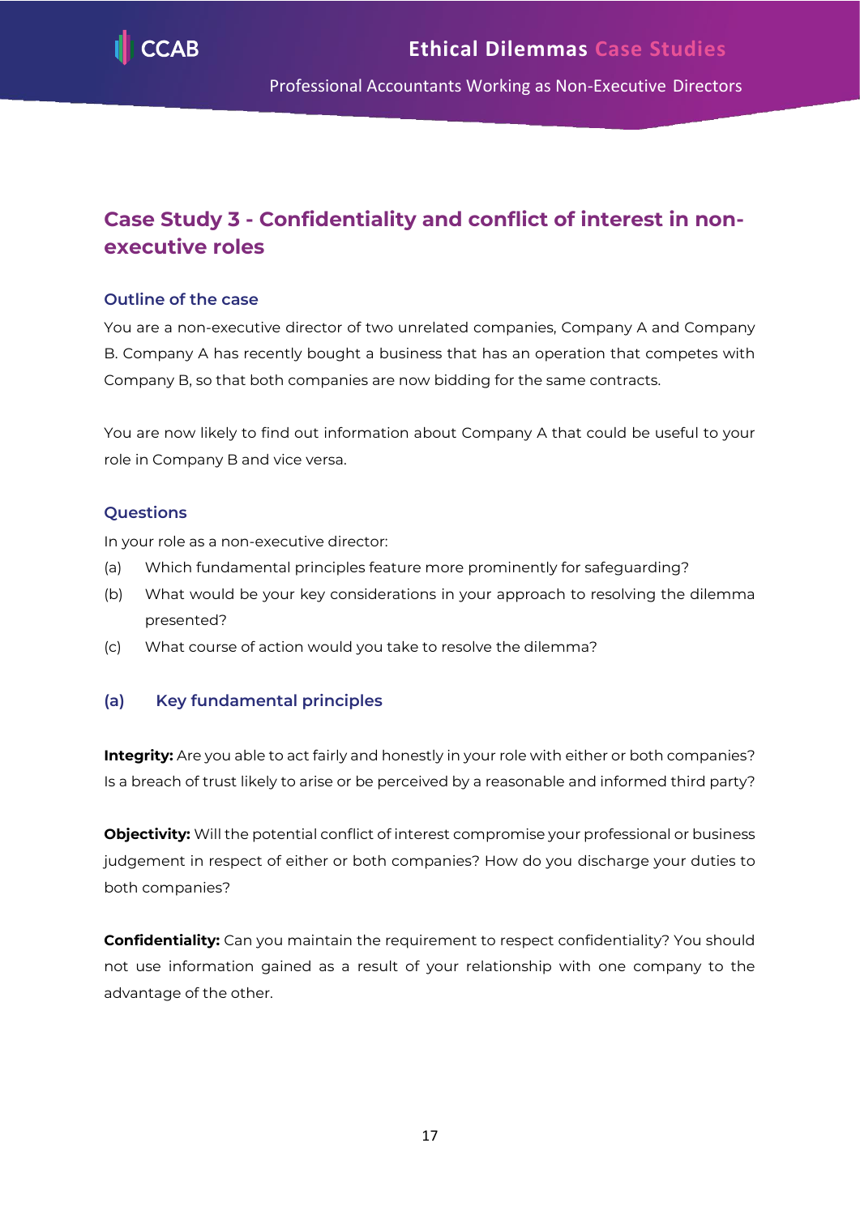

# <span id="page-17-0"></span>**Case Study 3 - Confidentiality and conflict of interest in nonexecutive roles**

# **Outline of the case**

You are a non-executive director of two unrelated companies, Company A and Company B. Company A has recently bought a business that has an operation that competes with Company B, so that both companies are now bidding for the same contracts.

You are now likely to find out information about Company A that could be useful to your role in Company B and vice versa.

## **Questions**

In your role as a non-executive director:

- (a) Which fundamental principles feature more prominently for safeguarding?
- (b) What would be your key considerations in your approach to resolving the dilemma presented?
- (c) What course of action would you take to resolve the dilemma?

# **(a) Key fundamental principles**

**Integrity:** Are you able to act fairly and honestly in your role with either or both companies? Is a breach of trust likely to arise or be perceived by a reasonable and informed third party?

**Objectivity:** Will the potential conflict of interest compromise your professional or business judgement in respect of either or both companies? How do you discharge your duties to both companies?

**Confidentiality:** Can you maintain the requirement to respect confidentiality? You should not use information gained as a result of your relationship with one company to the advantage of the other.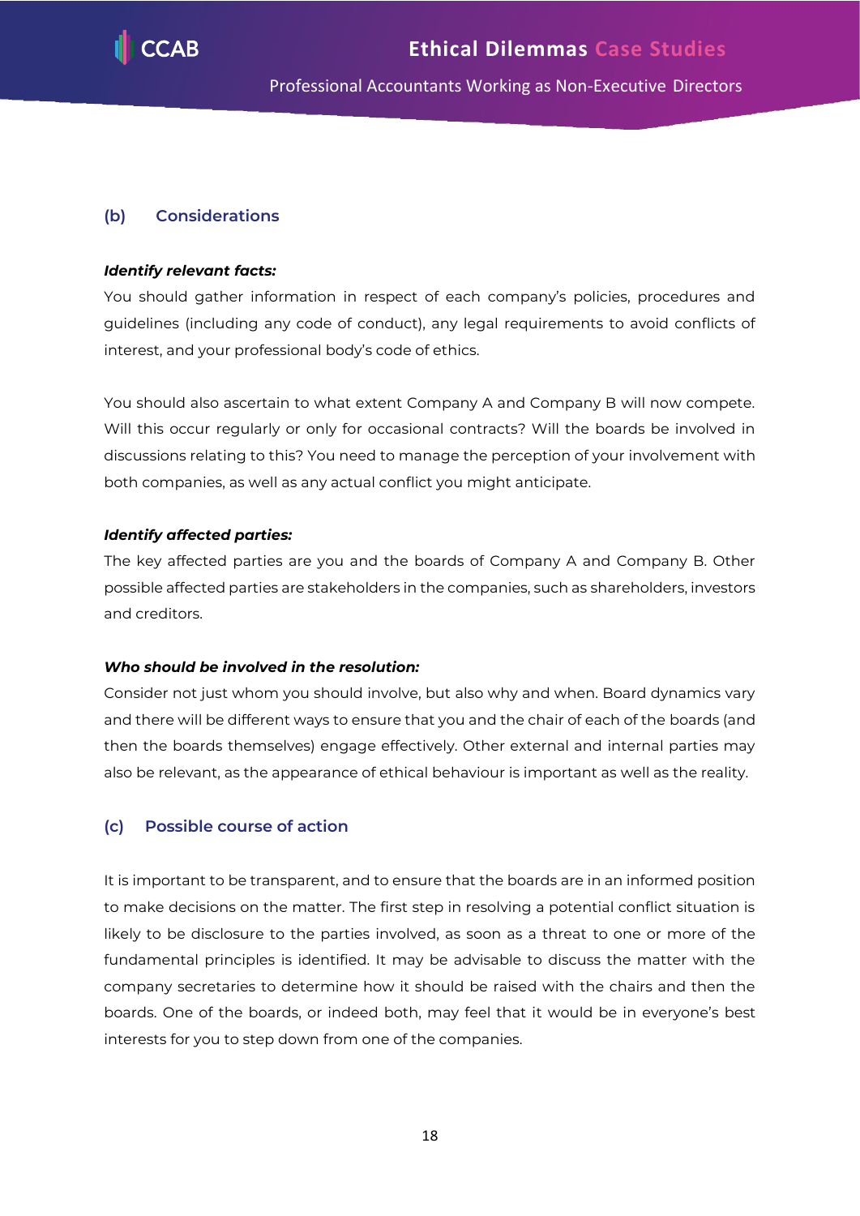

## **(b) Considerations**

#### *Identify relevant facts:*

You should gather information in respect of each company's policies, procedures and guidelines (including any code of conduct), any legal requirements to avoid conflicts of interest, and your professional body's code of ethics.

You should also ascertain to what extent Company A and Company B will now compete. Will this occur regularly or only for occasional contracts? Will the boards be involved in discussions relating to this? You need to manage the perception of your involvement with both companies, as well as any actual conflict you might anticipate.

#### *Identify affected parties:*

The key affected parties are you and the boards of Company A and Company B. Other possible affected parties are stakeholders in the companies, such as shareholders, investors and creditors.

#### *Who should be involved in the resolution:*

Consider not just whom you should involve, but also why and when. Board dynamics vary and there will be different ways to ensure that you and the chair of each of the boards (and then the boards themselves) engage effectively. Other external and internal parties may also be relevant, as the appearance of ethical behaviour is important as well as the reality.

#### **(c) Possible course of action**

It is important to be transparent, and to ensure that the boards are in an informed position to make decisions on the matter. The first step in resolving a potential conflict situation is likely to be disclosure to the parties involved, as soon as a threat to one or more of the fundamental principles is identified. It may be advisable to discuss the matter with the company secretaries to determine how it should be raised with the chairs and then the boards. One of the boards, or indeed both, may feel that it would be in everyone's best interests for you to step down from one of the companies.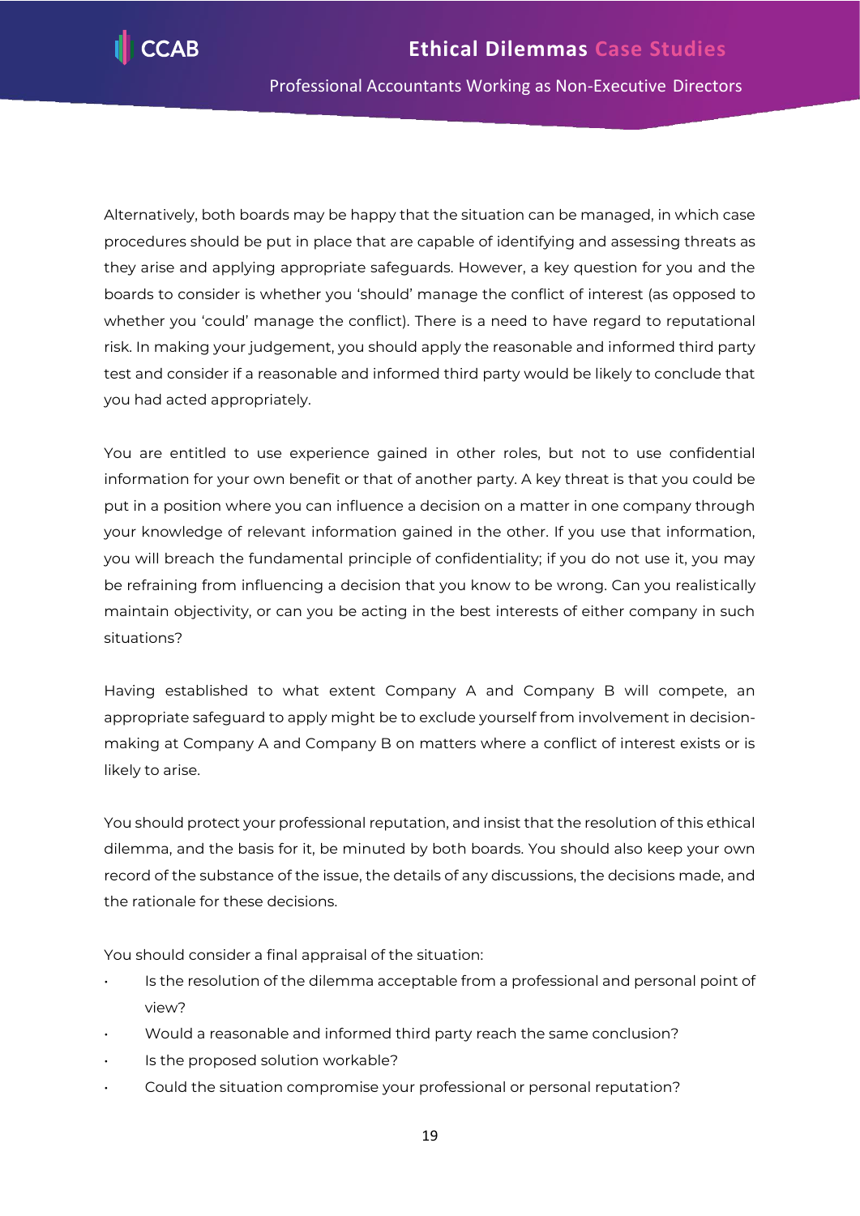

Alternatively, both boards may be happy that the situation can be managed, in which case procedures should be put in place that are capable of identifying and assessing threats as they arise and applying appropriate safeguards. However, a key question for you and the boards to consider is whether you 'should' manage the conflict of interest (as opposed to whether you 'could' manage the conflict). There is a need to have regard to reputational risk. In making your judgement, you should apply the reasonable and informed third party test and consider if a reasonable and informed third party would be likely to conclude that you had acted appropriately.

You are entitled to use experience gained in other roles, but not to use confidential information for your own benefit or that of another party. A key threat is that you could be put in a position where you can influence a decision on a matter in one company through your knowledge of relevant information gained in the other. If you use that information, you will breach the fundamental principle of confidentiality; if you do not use it, you may be refraining from influencing a decision that you know to be wrong. Can you realistically maintain objectivity, or can you be acting in the best interests of either company in such situations?

Having established to what extent Company A and Company B will compete, an appropriate safeguard to apply might be to exclude yourself from involvement in decisionmaking at Company A and Company B on matters where a conflict of interest exists or is likely to arise.

You should protect your professional reputation, and insist that the resolution of this ethical dilemma, and the basis for it, be minuted by both boards. You should also keep your own record of the substance of the issue, the details of any discussions, the decisions made, and the rationale for these decisions.

You should consider a final appraisal of the situation:

- Is the resolution of the dilemma acceptable from a professional and personal point of view?
- Would a reasonable and informed third party reach the same conclusion?
- Is the proposed solution workable?
- Could the situation compromise your professional or personal reputation?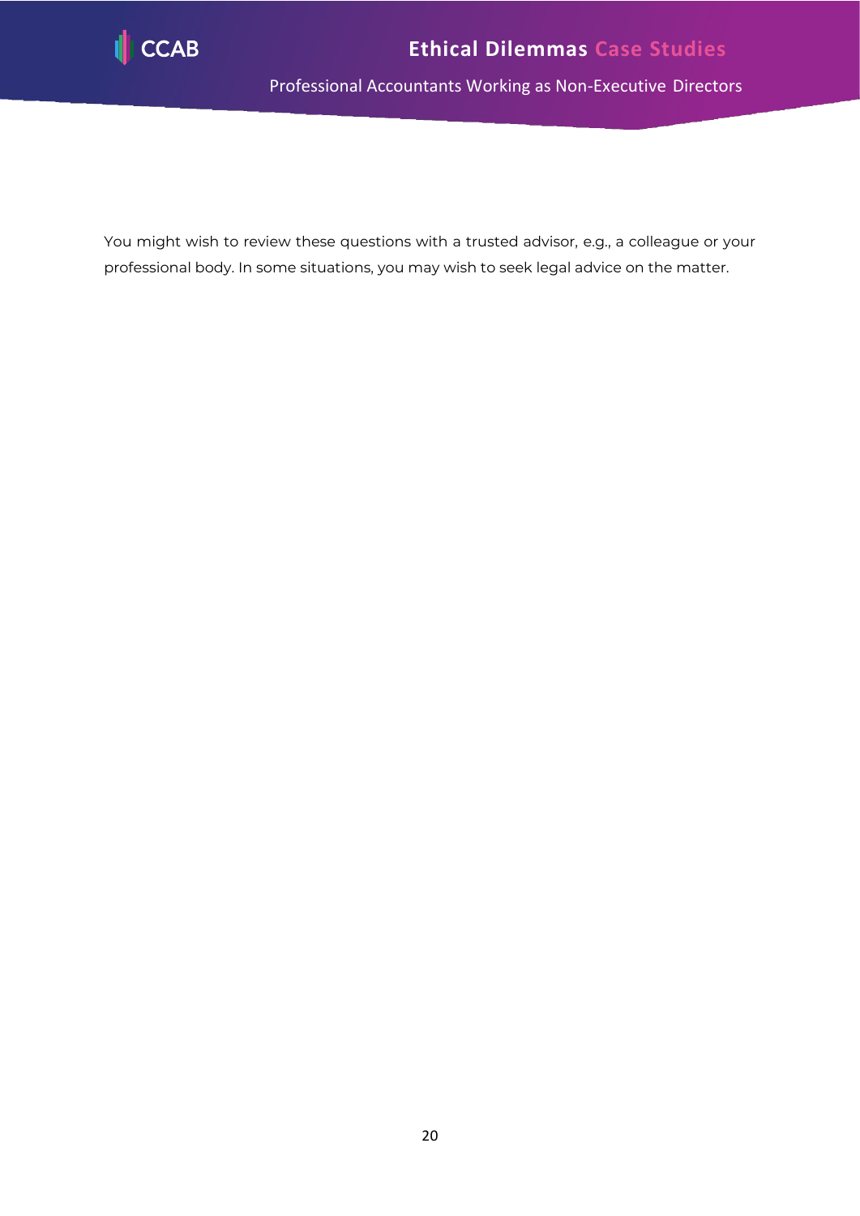

<span id="page-20-0"></span>You might wish to review these questions with a trusted advisor, e.g., a colleague or your professional body. In some situations, you may wish to seek legal advice on the matter.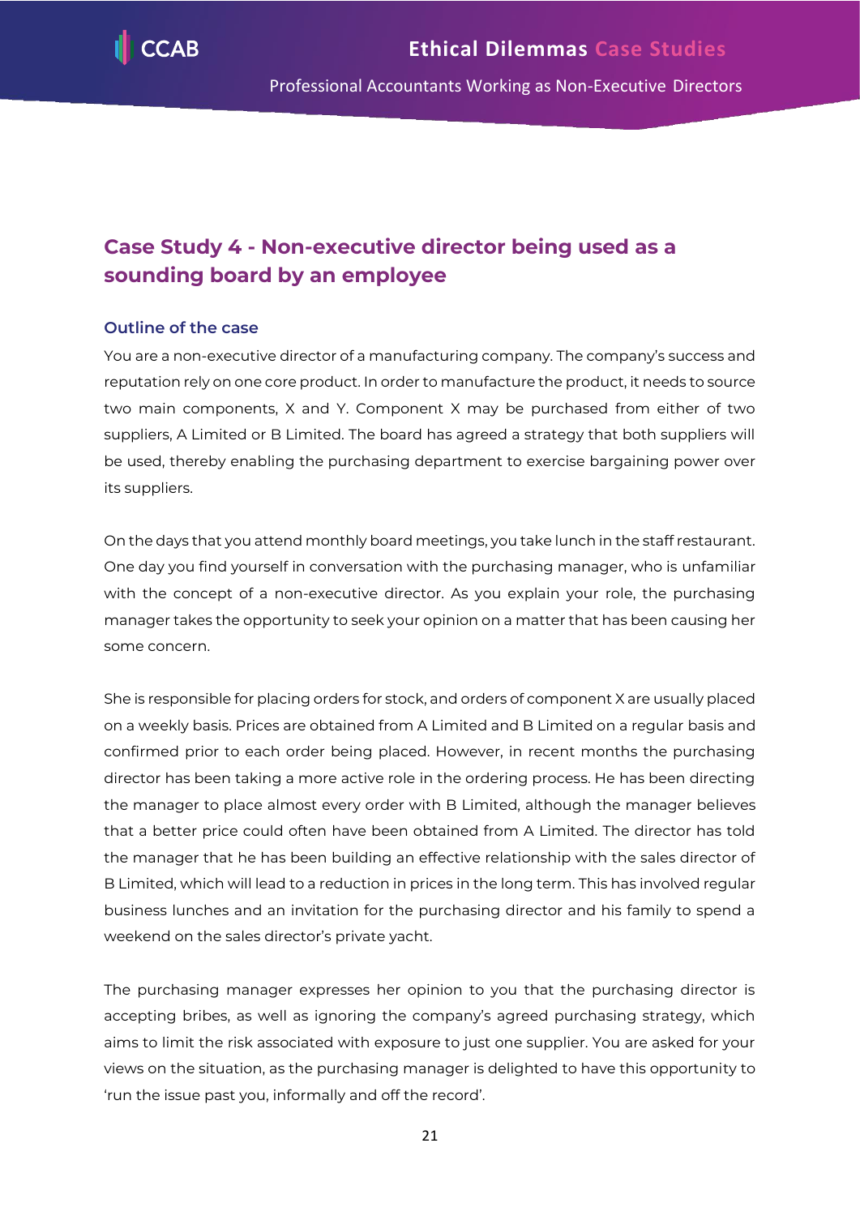

# **Case Study 4 - Non-executive director being used as a sounding board by an employee**

# **Outline of the case**

You are a non-executive director of a manufacturing company. The company's success and reputation rely on one core product. In order to manufacture the product, it needs to source two main components, X and Y. Component X may be purchased from either of two suppliers, A Limited or B Limited. The board has agreed a strategy that both suppliers will be used, thereby enabling the purchasing department to exercise bargaining power over its suppliers.

On the days that you attend monthly board meetings, you take lunch in the staff restaurant. One day you find yourself in conversation with the purchasing manager, who is unfamiliar with the concept of a non-executive director. As you explain your role, the purchasing manager takes the opportunity to seek your opinion on a matter that has been causing her some concern.

She is responsible for placing orders for stock, and orders of component X are usually placed on a weekly basis. Prices are obtained from A Limited and B Limited on a regular basis and confirmed prior to each order being placed. However, in recent months the purchasing director has been taking a more active role in the ordering process. He has been directing the manager to place almost every order with B Limited, although the manager believes that a better price could often have been obtained from A Limited. The director has told the manager that he has been building an effective relationship with the sales director of B Limited, which will lead to a reduction in prices in the long term. This has involved regular business lunches and an invitation for the purchasing director and his family to spend a weekend on the sales director's private yacht.

The purchasing manager expresses her opinion to you that the purchasing director is accepting bribes, as well as ignoring the company's agreed purchasing strategy, which aims to limit the risk associated with exposure to just one supplier. You are asked for your views on the situation, as the purchasing manager is delighted to have this opportunity to 'run the issue past you, informally and off the record'.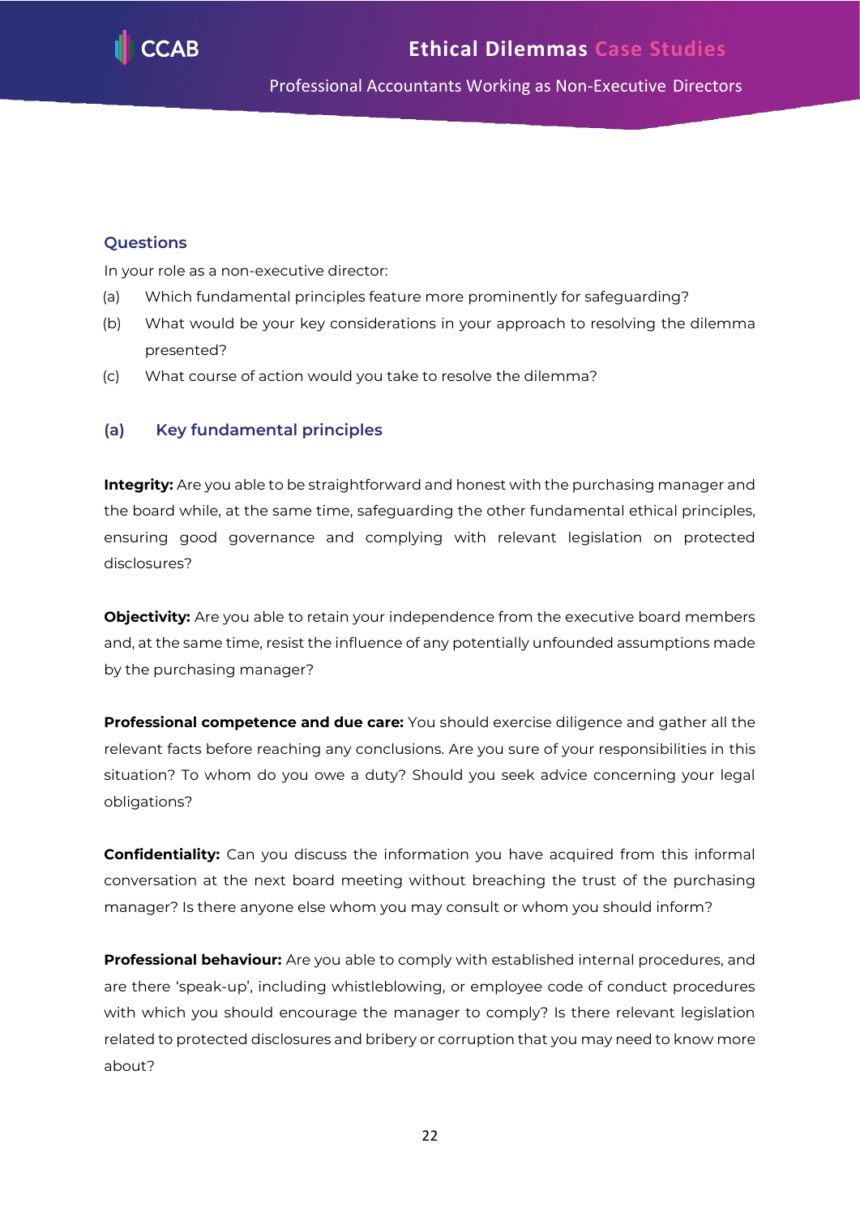

# **Questions**

In your role as a non-executive director:

- (a) Which fundamental principles feature more prominently for safeguarding?
- (b) What would be your key considerations in your approach to resolving the dilemma presented?
- (c) What course of action would you take to resolve the dilemma?

# **(a) Key fundamental principles**

**Integrity:** Are you able to be straightforward and honest with the purchasing manager and the board while, at the same time, safeguarding the other fundamental ethical principles, ensuring good governance and complying with relevant legislation on protected disclosures?

**Objectivity:** Are you able to retain your independence from the executive board members and, at the same time, resist the influence of any potentially unfounded assumptions made by the purchasing manager?

**Professional competence and due care:** You should exercise diligence and gather all the relevant facts before reaching any conclusions. Are you sure of your responsibilities in this situation? To whom do you owe a duty? Should you seek advice concerning your legal obligations?

**Confidentiality:** Can you discuss the information you have acquired from this informal conversation at the next board meeting without breaching the trust of the purchasing manager? Is there anyone else whom you may consult or whom you should inform?

**Professional behaviour:** Are you able to comply with established internal procedures, and are there 'speak-up', including whistleblowing, or employee code of conduct procedures with which you should encourage the manager to comply? Is there relevant legislation related to protected disclosures and bribery or corruption that you may need to know more about?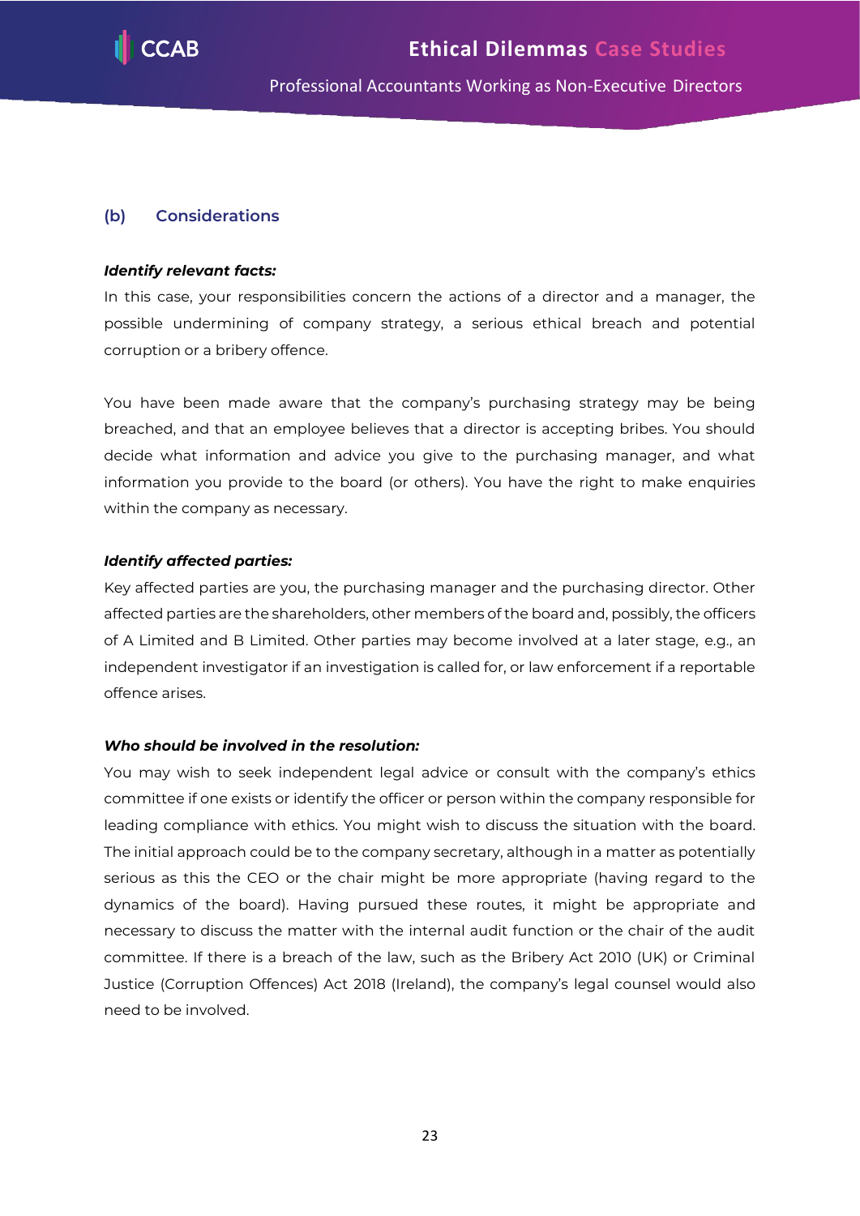

#### **(b) Considerations**

#### *Identify relevant facts:*

In this case, your responsibilities concern the actions of a director and a manager, the possible undermining of company strategy, a serious ethical breach and potential corruption or a bribery offence.

You have been made aware that the company's purchasing strategy may be being breached, and that an employee believes that a director is accepting bribes. You should decide what information and advice you give to the purchasing manager, and what information you provide to the board (or others). You have the right to make enquiries within the company as necessary.

#### *Identify affected parties:*

Key affected parties are you, the purchasing manager and the purchasing director. Other affected parties are the shareholders, other members of the board and, possibly, the officers of A Limited and B Limited. Other parties may become involved at a later stage, e.g., an independent investigator if an investigation is called for, or law enforcement if a reportable offence arises.

#### *Who should be involved in the resolution:*

You may wish to seek independent legal advice or consult with the company's ethics committee if one exists or identify the officer or person within the company responsible for leading compliance with ethics. You might wish to discuss the situation with the board. The initial approach could be to the company secretary, although in a matter as potentially serious as this the CEO or the chair might be more appropriate (having regard to the dynamics of the board). Having pursued these routes, it might be appropriate and necessary to discuss the matter with the internal audit function or the chair of the audit committee. If there is a breach of the law, such as the Bribery Act 2010 (UK) or Criminal Justice (Corruption Offences) Act 2018 (Ireland), the company's legal counsel would also need to be involved.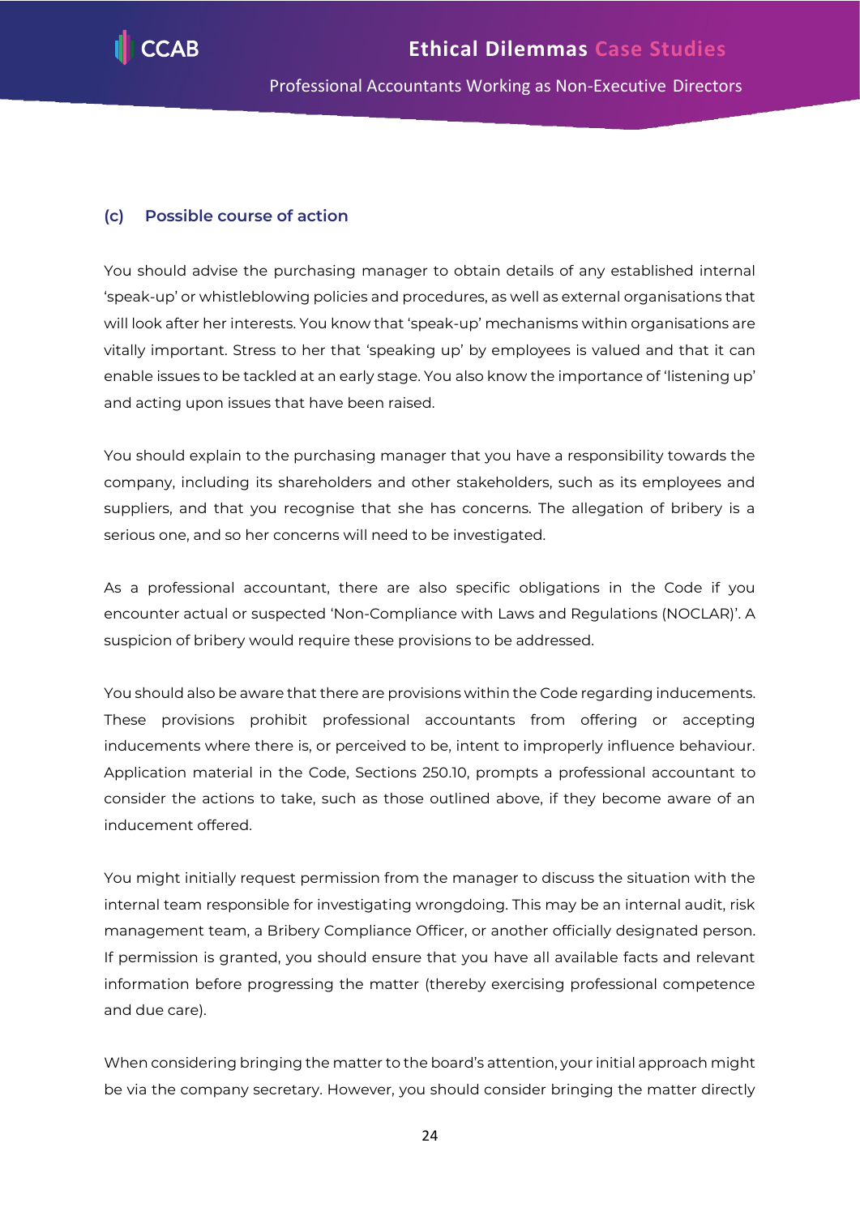

#### **(c) Possible course of action**

You should advise the purchasing manager to obtain details of any established internal 'speak-up' or whistleblowing policies and procedures, as well as external organisations that will look after her interests. You know that 'speak-up' mechanisms within organisations are vitally important. Stress to her that 'speaking up' by employees is valued and that it can enable issues to be tackled at an early stage. You also know the importance of 'listening up' and acting upon issues that have been raised.

You should explain to the purchasing manager that you have a responsibility towards the company, including its shareholders and other stakeholders, such as its employees and suppliers, and that you recognise that she has concerns. The allegation of bribery is a serious one, and so her concerns will need to be investigated.

As a professional accountant, there are also specific obligations in the Code if you encounter actual or suspected 'Non-Compliance with Laws and Regulations (NOCLAR)'. A suspicion of bribery would require these provisions to be addressed.

You should also be aware that there are provisions within the Code regarding inducements. These provisions prohibit professional accountants from offering or accepting inducements where there is, or perceived to be, intent to improperly influence behaviour. Application material in the Code, Sections 250.10, prompts a professional accountant to consider the actions to take, such as those outlined above, if they become aware of an inducement offered.

You might initially request permission from the manager to discuss the situation with the internal team responsible for investigating wrongdoing. This may be an internal audit, risk management team, a Bribery Compliance Officer, or another officially designated person. If permission is granted, you should ensure that you have all available facts and relevant information before progressing the matter (thereby exercising professional competence and due care).

When considering bringing the matter to the board's attention, your initial approach might be via the company secretary. However, you should consider bringing the matter directly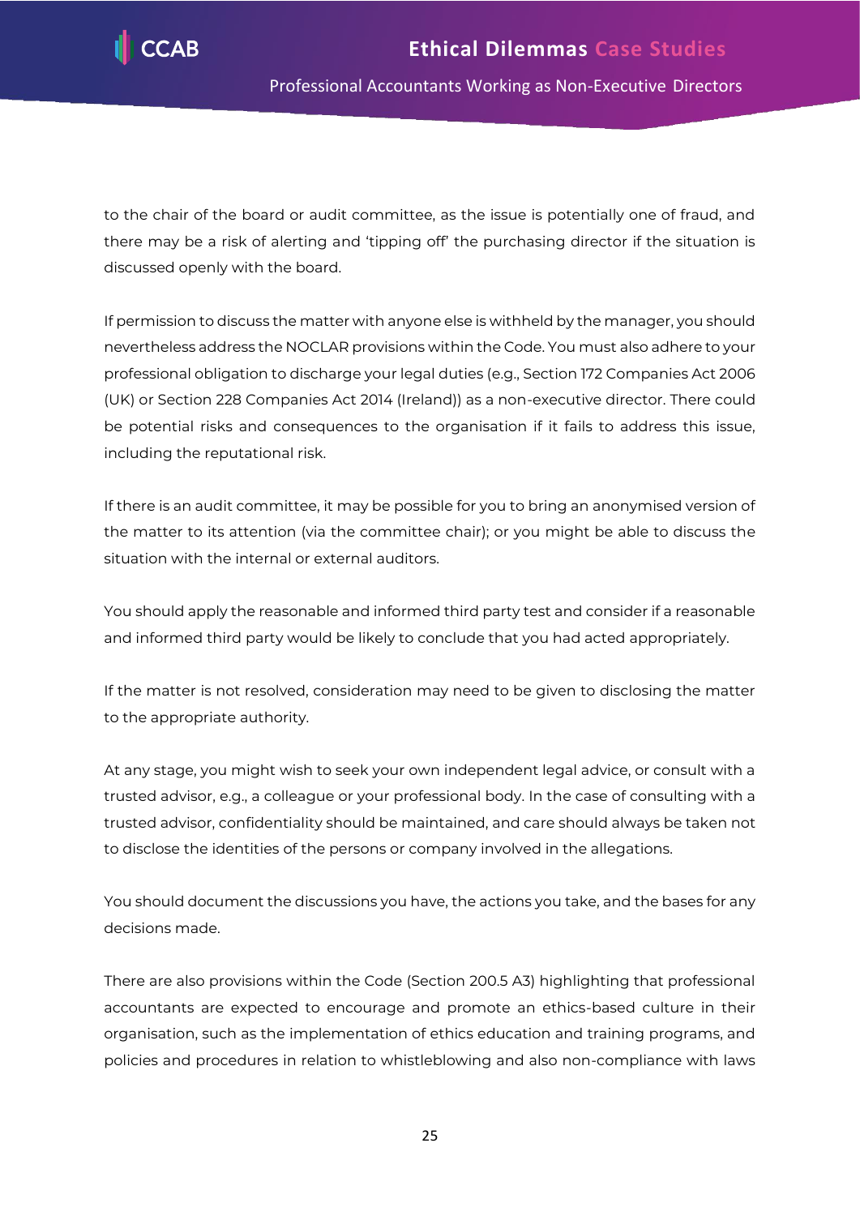

to the chair of the board or audit committee, as the issue is potentially one of fraud, and there may be a risk of alerting and 'tipping off' the purchasing director if the situation is discussed openly with the board.

If permission to discuss the matter with anyone else is withheld by the manager, you should nevertheless address the NOCLAR provisions within the Code. You must also adhere to your professional obligation to discharge your legal duties (e.g., Section 172 Companies Act 2006 (UK) or Section 228 Companies Act 2014 (Ireland)) as a non-executive director. There could be potential risks and consequences to the organisation if it fails to address this issue, including the reputational risk.

If there is an audit committee, it may be possible for you to bring an anonymised version of the matter to its attention (via the committee chair); or you might be able to discuss the situation with the internal or external auditors.

You should apply the reasonable and informed third party test and consider if a reasonable and informed third party would be likely to conclude that you had acted appropriately.

If the matter is not resolved, consideration may need to be given to disclosing the matter to the appropriate authority.

At any stage, you might wish to seek your own independent legal advice, or consult with a trusted advisor, e.g., a colleague or your professional body. In the case of consulting with a trusted advisor, confidentiality should be maintained, and care should always be taken not to disclose the identities of the persons or company involved in the allegations.

You should document the discussions you have, the actions you take, and the bases for any decisions made.

There are also provisions within the Code (Section 200.5 A3) highlighting that professional accountants are expected to encourage and promote an ethics-based culture in their organisation, such as the implementation of ethics education and training programs, and policies and procedures in relation to whistleblowing and also non-compliance with laws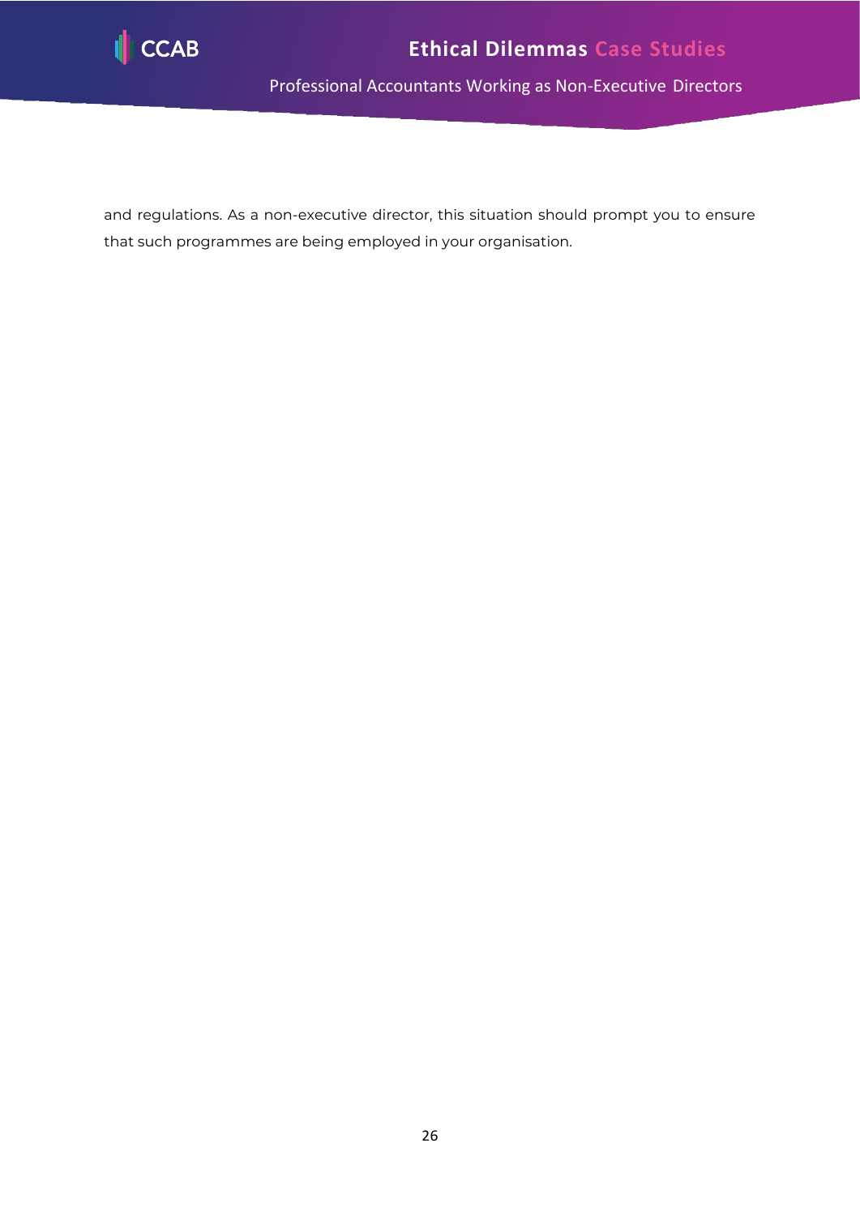

and regulations. As a non-executive director, this situation should prompt you to ensure that such programmes are being employed in your organisation.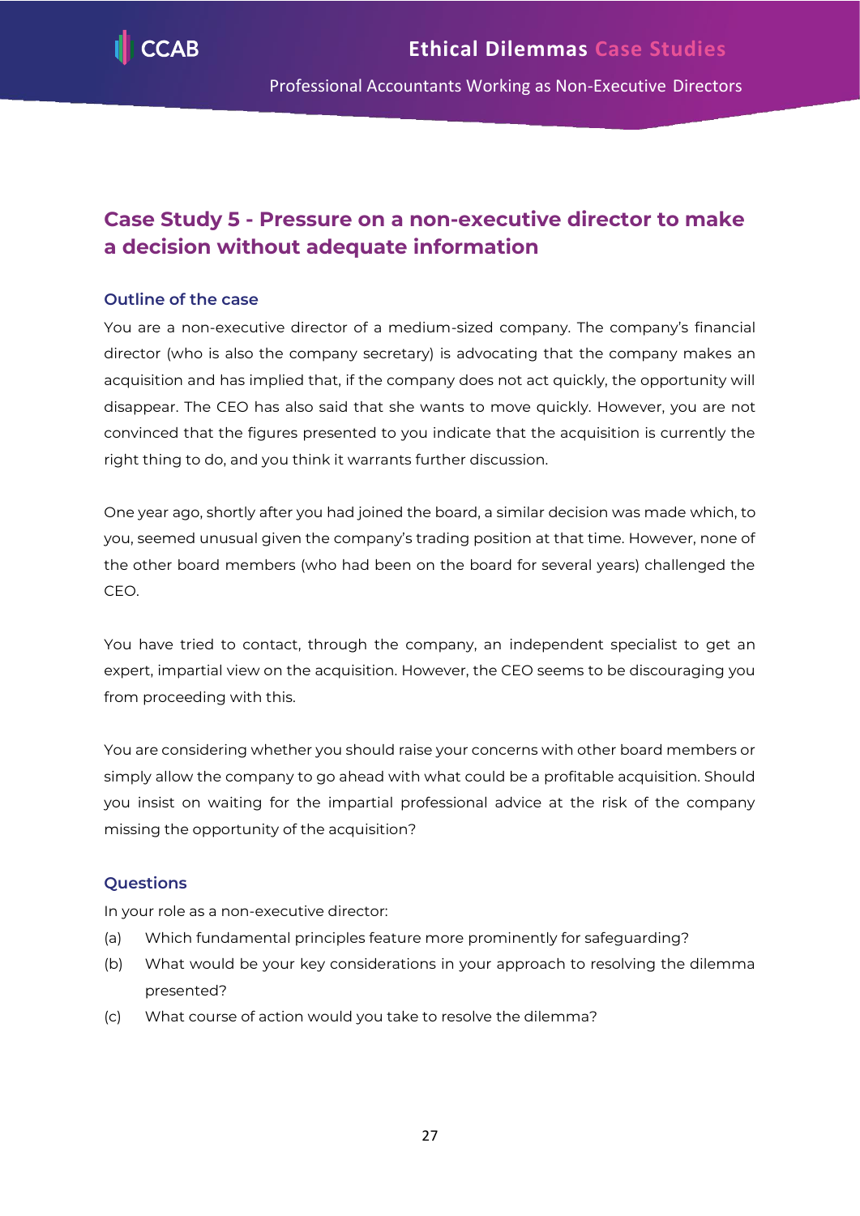

# <span id="page-27-0"></span>**Case Study 5 - Pressure on a non-executive director to make a decision without adequate information**

# **Outline of the case**

You are a non-executive director of a medium-sized company. The company's financial director (who is also the company secretary) is advocating that the company makes an acquisition and has implied that, if the company does not act quickly, the opportunity will disappear. The CEO has also said that she wants to move quickly. However, you are not convinced that the figures presented to you indicate that the acquisition is currently the right thing to do, and you think it warrants further discussion.

One year ago, shortly after you had joined the board, a similar decision was made which, to you, seemed unusual given the company's trading position at that time. However, none of the other board members (who had been on the board for several years) challenged the CEO.

You have tried to contact, through the company, an independent specialist to get an expert, impartial view on the acquisition. However, the CEO seems to be discouraging you from proceeding with this.

You are considering whether you should raise your concerns with other board members or simply allow the company to go ahead with what could be a profitable acquisition. Should you insist on waiting for the impartial professional advice at the risk of the company missing the opportunity of the acquisition?

# **Questions**

In your role as a non-executive director:

- (a) Which fundamental principles feature more prominently for safeguarding?
- (b) What would be your key considerations in your approach to resolving the dilemma presented?
- (c) What course of action would you take to resolve the dilemma?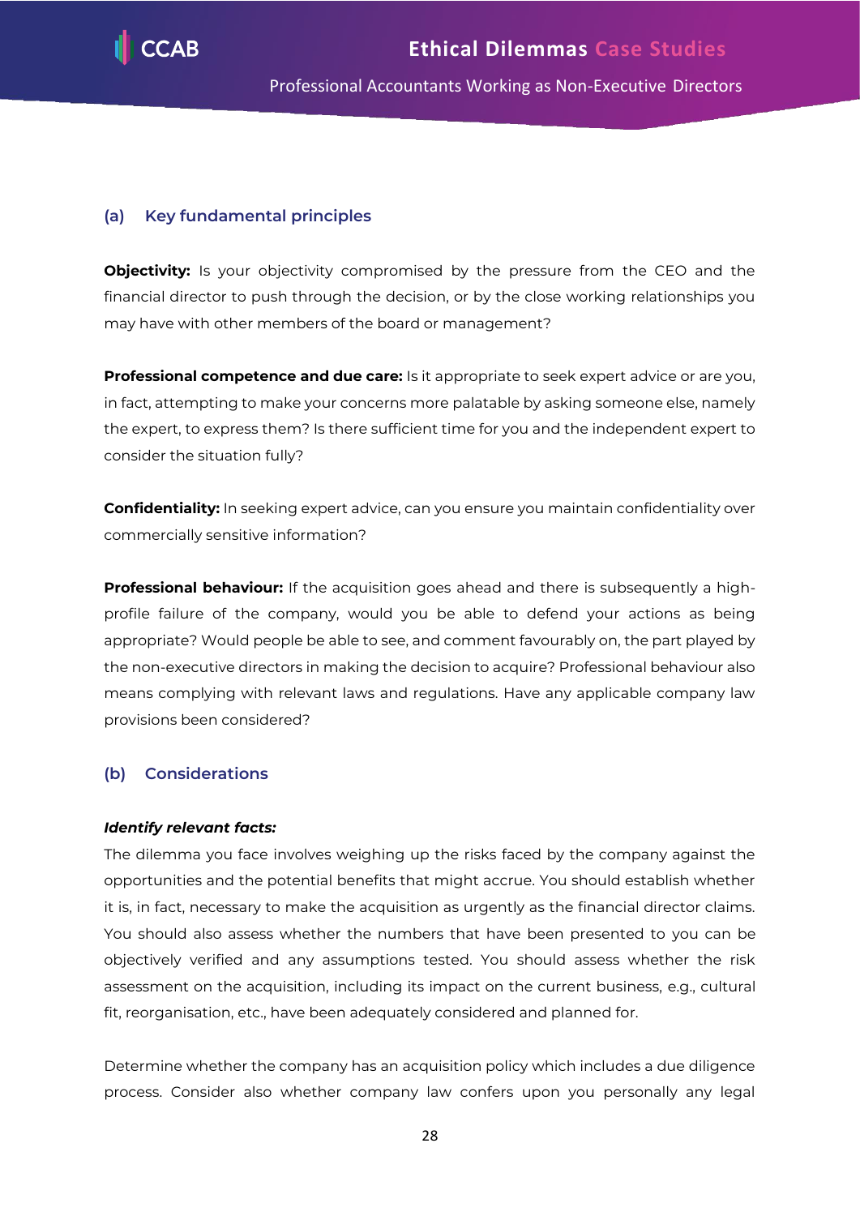

## **(a) Key fundamental principles**

**Objectivity:** Is your objectivity compromised by the pressure from the CEO and the financial director to push through the decision, or by the close working relationships you may have with other members of the board or management?

**Professional competence and due care:** Is it appropriate to seek expert advice or are you, in fact, attempting to make your concerns more palatable by asking someone else, namely the expert, to express them? Is there sufficient time for you and the independent expert to consider the situation fully?

**Confidentiality:** In seeking expert advice, can you ensure you maintain confidentiality over commercially sensitive information?

**Professional behaviour:** If the acquisition goes ahead and there is subsequently a highprofile failure of the company, would you be able to defend your actions as being appropriate? Would people be able to see, and comment favourably on, the part played by the non-executive directors in making the decision to acquire? Professional behaviour also means complying with relevant laws and regulations. Have any applicable company law provisions been considered?

# **(b) Considerations**

#### *Identify relevant facts:*

The dilemma you face involves weighing up the risks faced by the company against the opportunities and the potential benefits that might accrue. You should establish whether it is, in fact, necessary to make the acquisition as urgently as the financial director claims. You should also assess whether the numbers that have been presented to you can be objectively verified and any assumptions tested. You should assess whether the risk assessment on the acquisition, including its impact on the current business, e.g., cultural fit, reorganisation, etc., have been adequately considered and planned for.

Determine whether the company has an acquisition policy which includes a due diligence process. Consider also whether company law confers upon you personally any legal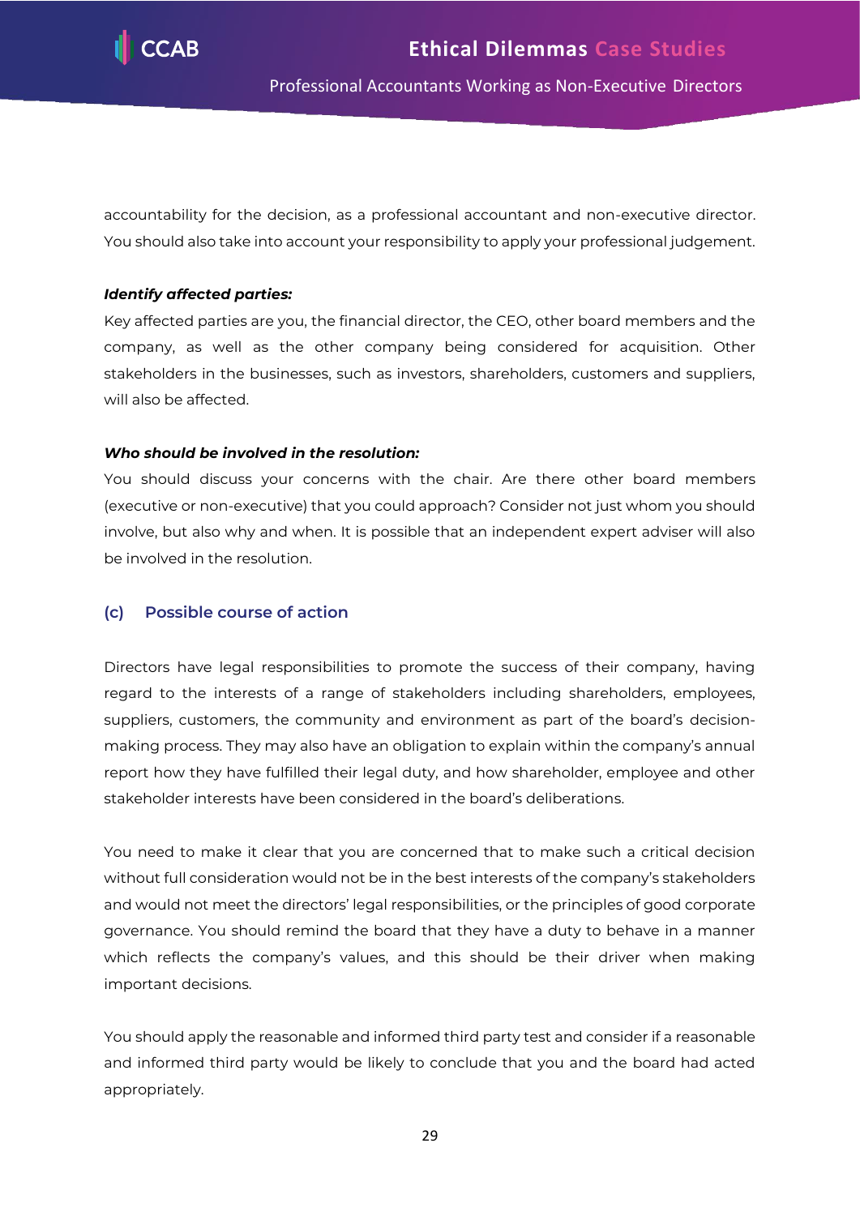

accountability for the decision, as a professional accountant and non-executive director. You should also take into account your responsibility to apply your professional judgement.

#### *Identify affected parties:*

Key affected parties are you, the financial director, the CEO, other board members and the company, as well as the other company being considered for acquisition. Other stakeholders in the businesses, such as investors, shareholders, customers and suppliers, will also be affected.

#### *Who should be involved in the resolution:*

You should discuss your concerns with the chair. Are there other board members (executive or non-executive) that you could approach? Consider not just whom you should involve, but also why and when. It is possible that an independent expert adviser will also be involved in the resolution.

#### **(c) Possible course of action**

Directors have legal responsibilities to promote the success of their company, having regard to the interests of a range of stakeholders including shareholders, employees, suppliers, customers, the community and environment as part of the board's decisionmaking process. They may also have an obligation to explain within the company's annual report how they have fulfilled their legal duty, and how shareholder, employee and other stakeholder interests have been considered in the board's deliberations.

You need to make it clear that you are concerned that to make such a critical decision without full consideration would not be in the best interests of the company's stakeholders and would not meet the directors' legal responsibilities, or the principles of good corporate governance. You should remind the board that they have a duty to behave in a manner which reflects the company's values, and this should be their driver when making important decisions.

You should apply the reasonable and informed third party test and consider if a reasonable and informed third party would be likely to conclude that you and the board had acted appropriately.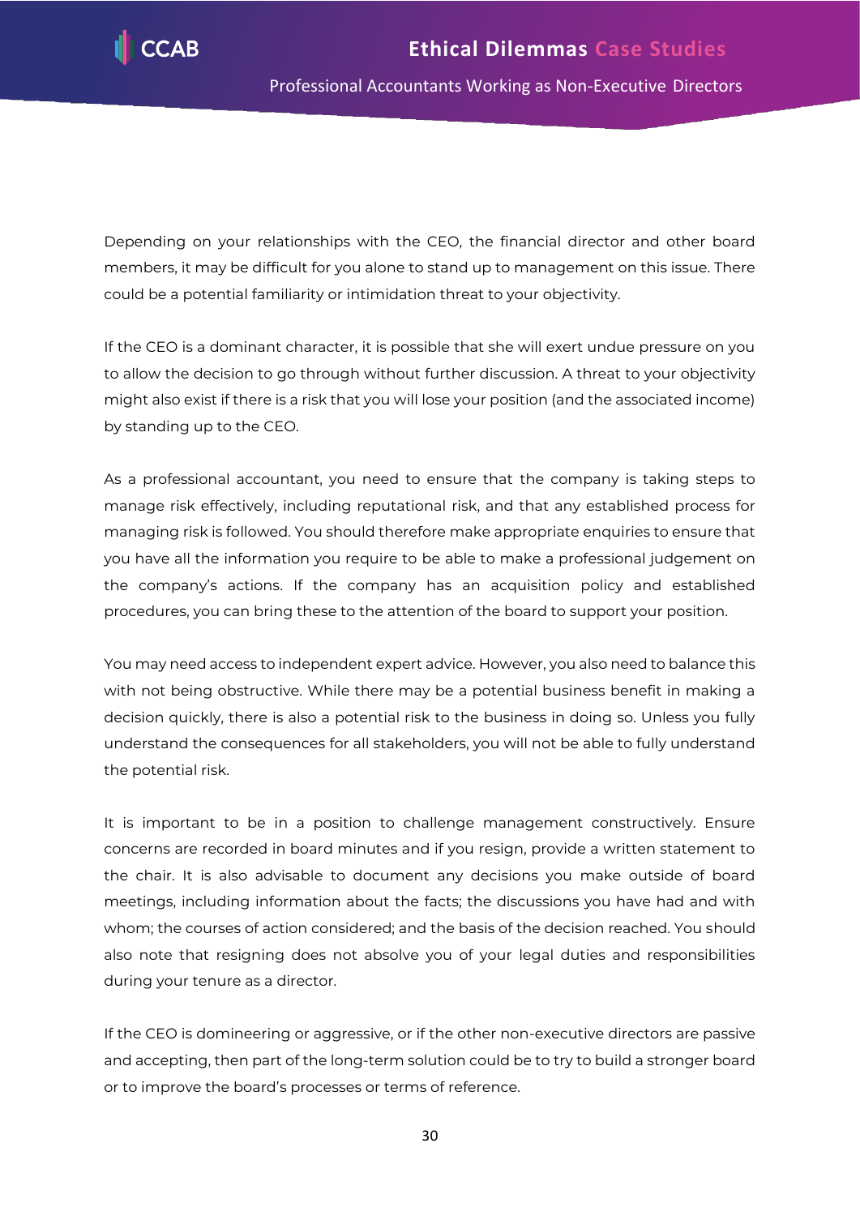Depending on your relationships with the CEO, the financial director and other board members, it may be difficult for you alone to stand up to management on this issue. There could be a potential familiarity or intimidation threat to your objectivity.

If the CEO is a dominant character, it is possible that she will exert undue pressure on you to allow the decision to go through without further discussion. A threat to your objectivity might also exist if there is a risk that you will lose your position (and the associated income) by standing up to the CEO.

As a professional accountant, you need to ensure that the company is taking steps to manage risk effectively, including reputational risk, and that any established process for managing risk is followed. You should therefore make appropriate enquiries to ensure that you have all the information you require to be able to make a professional judgement on the company's actions. If the company has an acquisition policy and established procedures, you can bring these to the attention of the board to support your position.

You may need access to independent expert advice. However, you also need to balance this with not being obstructive. While there may be a potential business benefit in making a decision quickly, there is also a potential risk to the business in doing so. Unless you fully understand the consequences for all stakeholders, you will not be able to fully understand the potential risk.

It is important to be in a position to challenge management constructively. Ensure concerns are recorded in board minutes and if you resign, provide a written statement to the chair. It is also advisable to document any decisions you make outside of board meetings, including information about the facts; the discussions you have had and with whom; the courses of action considered; and the basis of the decision reached. You should also note that resigning does not absolve you of your legal duties and responsibilities during your tenure as a director.

If the CEO is domineering or aggressive, or if the other non-executive directors are passive and accepting, then part of the long-term solution could be to try to build a stronger board or to improve the board's processes or terms of reference.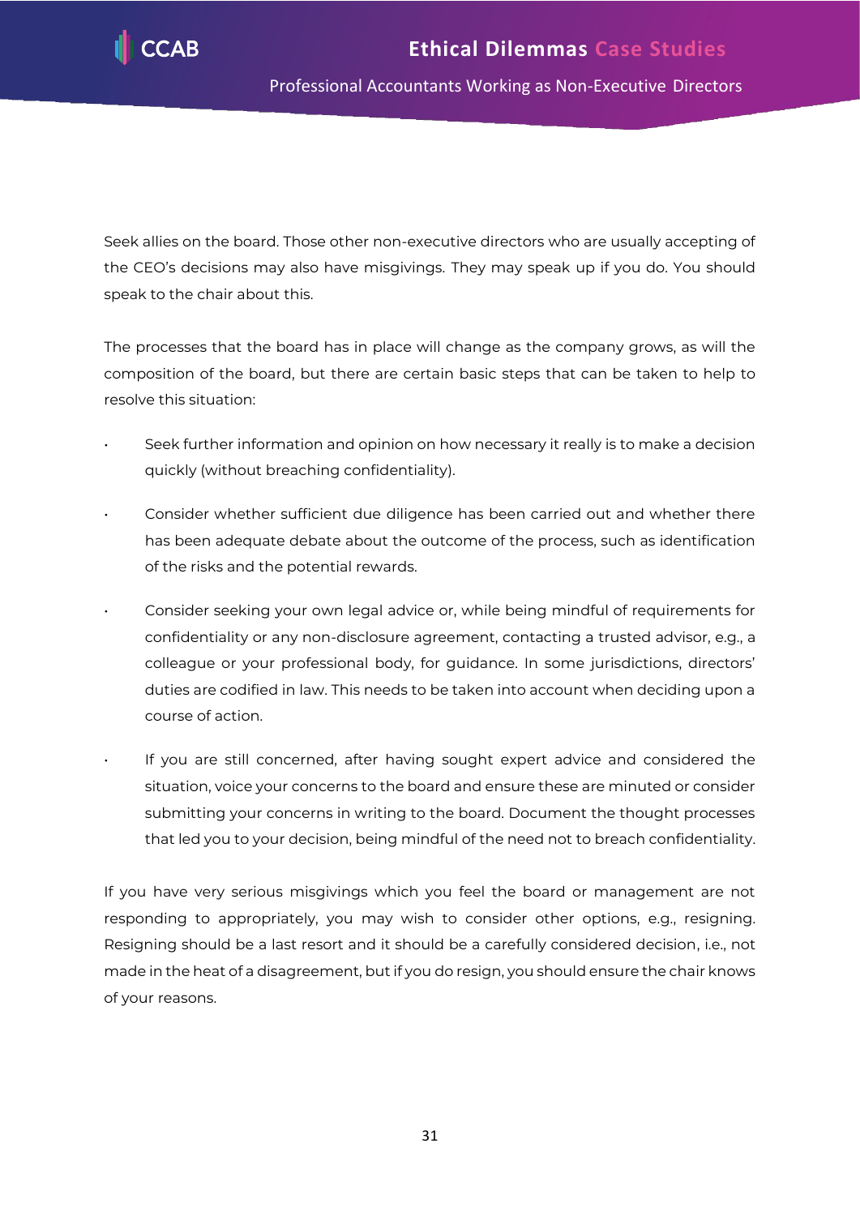Seek allies on the board. Those other non-executive directors who are usually accepting of the CEO's decisions may also have misgivings. They may speak up if you do. You should speak to the chair about this.

The processes that the board has in place will change as the company grows, as will the composition of the board, but there are certain basic steps that can be taken to help to resolve this situation:

- Seek further information and opinion on how necessary it really is to make a decision quickly (without breaching confidentiality).
- Consider whether sufficient due diligence has been carried out and whether there has been adequate debate about the outcome of the process, such as identification of the risks and the potential rewards.
- Consider seeking your own legal advice or, while being mindful of requirements for confidentiality or any non-disclosure agreement, contacting a trusted advisor, e.g., a colleague or your professional body, for guidance. In some jurisdictions, directors' duties are codified in law. This needs to be taken into account when deciding upon a course of action.
- If you are still concerned, after having sought expert advice and considered the situation, voice your concerns to the board and ensure these are minuted or consider submitting your concerns in writing to the board. Document the thought processes that led you to your decision, being mindful of the need not to breach confidentiality.

If you have very serious misgivings which you feel the board or management are not responding to appropriately, you may wish to consider other options, e.g., resigning. Resigning should be a last resort and it should be a carefully considered decision, i.e., not made in the heat of a disagreement, but if you do resign, you should ensure the chair knows of your reasons.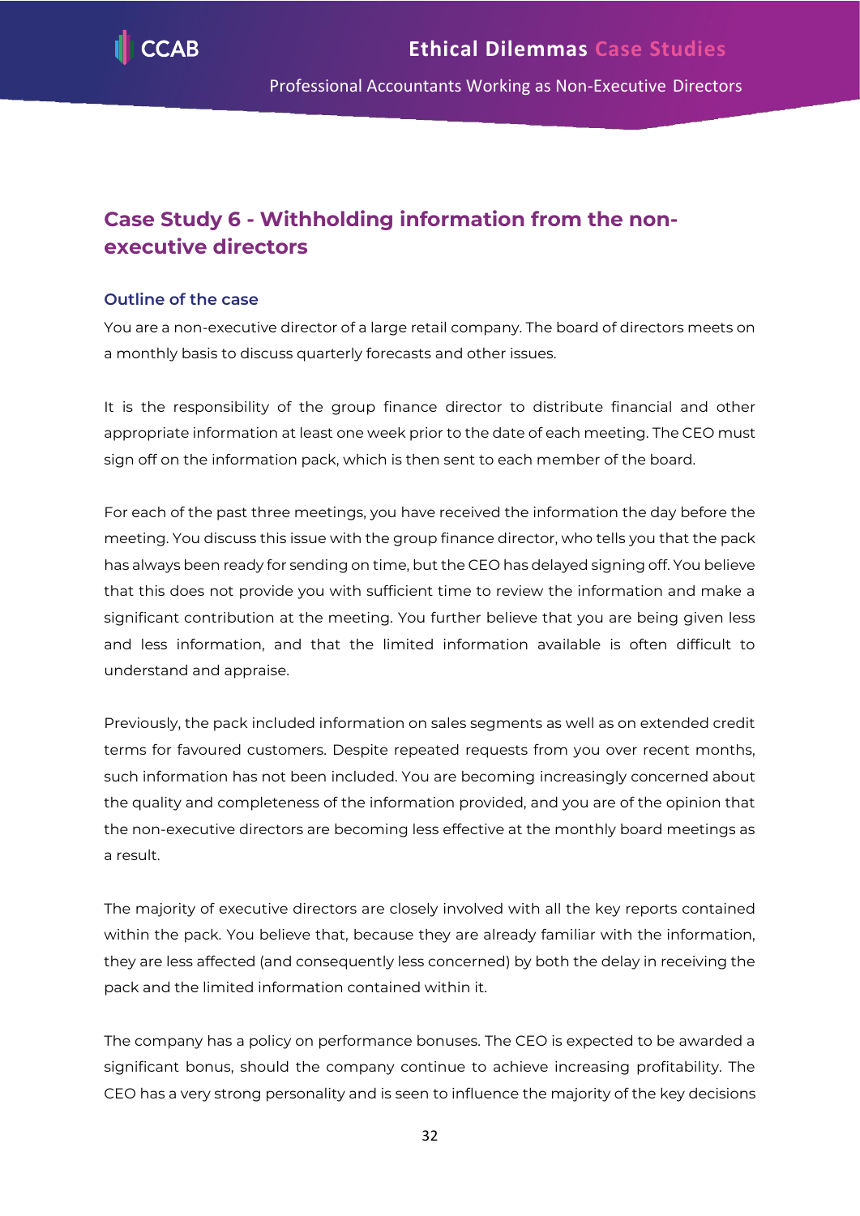

# <span id="page-32-0"></span>**Case Study 6 - Withholding information from the nonexecutive directors**

## **Outline of the case**

You are a non-executive director of a large retail company. The board of directors meets on a monthly basis to discuss quarterly forecasts and other issues.

It is the responsibility of the group finance director to distribute financial and other appropriate information at least one week prior to the date of each meeting. The CEO must sign off on the information pack, which is then sent to each member of the board.

For each of the past three meetings, you have received the information the day before the meeting. You discuss this issue with the group finance director, who tells you that the pack has always been ready for sending on time, but the CEO has delayed signing off. You believe that this does not provide you with sufficient time to review the information and make a significant contribution at the meeting. You further believe that you are being given less and less information, and that the limited information available is often difficult to understand and appraise.

Previously, the pack included information on sales segments as well as on extended credit terms for favoured customers. Despite repeated requests from you over recent months, such information has not been included. You are becoming increasingly concerned about the quality and completeness of the information provided, and you are of the opinion that the non-executive directors are becoming less effective at the monthly board meetings as a result.

The majority of executive directors are closely involved with all the key reports contained within the pack. You believe that, because they are already familiar with the information, they are less affected (and consequently less concerned) by both the delay in receiving the pack and the limited information contained within it.

The company has a policy on performance bonuses. The CEO is expected to be awarded a significant bonus, should the company continue to achieve increasing profitability. The CEO has a very strong personality and is seen to influence the majority of the key decisions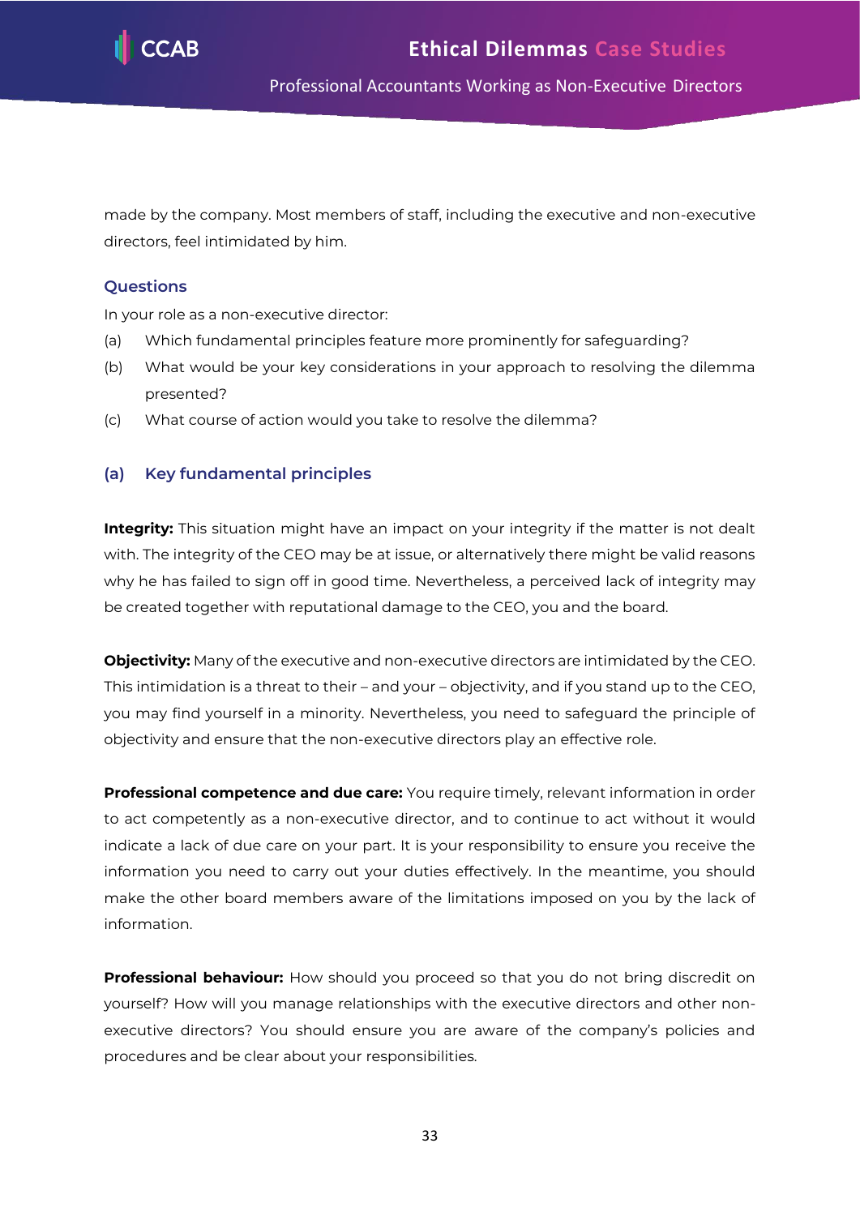

made by the company. Most members of staff, including the executive and non-executive directors, feel intimidated by him.

# **Questions**

In your role as a non-executive director:

- (a) Which fundamental principles feature more prominently for safeguarding?
- (b) What would be your key considerations in your approach to resolving the dilemma presented?
- (c) What course of action would you take to resolve the dilemma?

# **(a) Key fundamental principles**

**Integrity:** This situation might have an impact on your integrity if the matter is not dealt with. The integrity of the CEO may be at issue, or alternatively there might be valid reasons why he has failed to sign off in good time. Nevertheless, a perceived lack of integrity may be created together with reputational damage to the CEO, you and the board.

**Objectivity:** Many of the executive and non-executive directors are intimidated by the CEO. This intimidation is a threat to their – and your – objectivity, and if you stand up to the CEO, you may find yourself in a minority. Nevertheless, you need to safeguard the principle of objectivity and ensure that the non-executive directors play an effective role.

**Professional competence and due care:** You require timely, relevant information in order to act competently as a non-executive director, and to continue to act without it would indicate a lack of due care on your part. It is your responsibility to ensure you receive the information you need to carry out your duties effectively. In the meantime, you should make the other board members aware of the limitations imposed on you by the lack of information.

**Professional behaviour:** How should you proceed so that you do not bring discredit on yourself? How will you manage relationships with the executive directors and other nonexecutive directors? You should ensure you are aware of the company's policies and procedures and be clear about your responsibilities.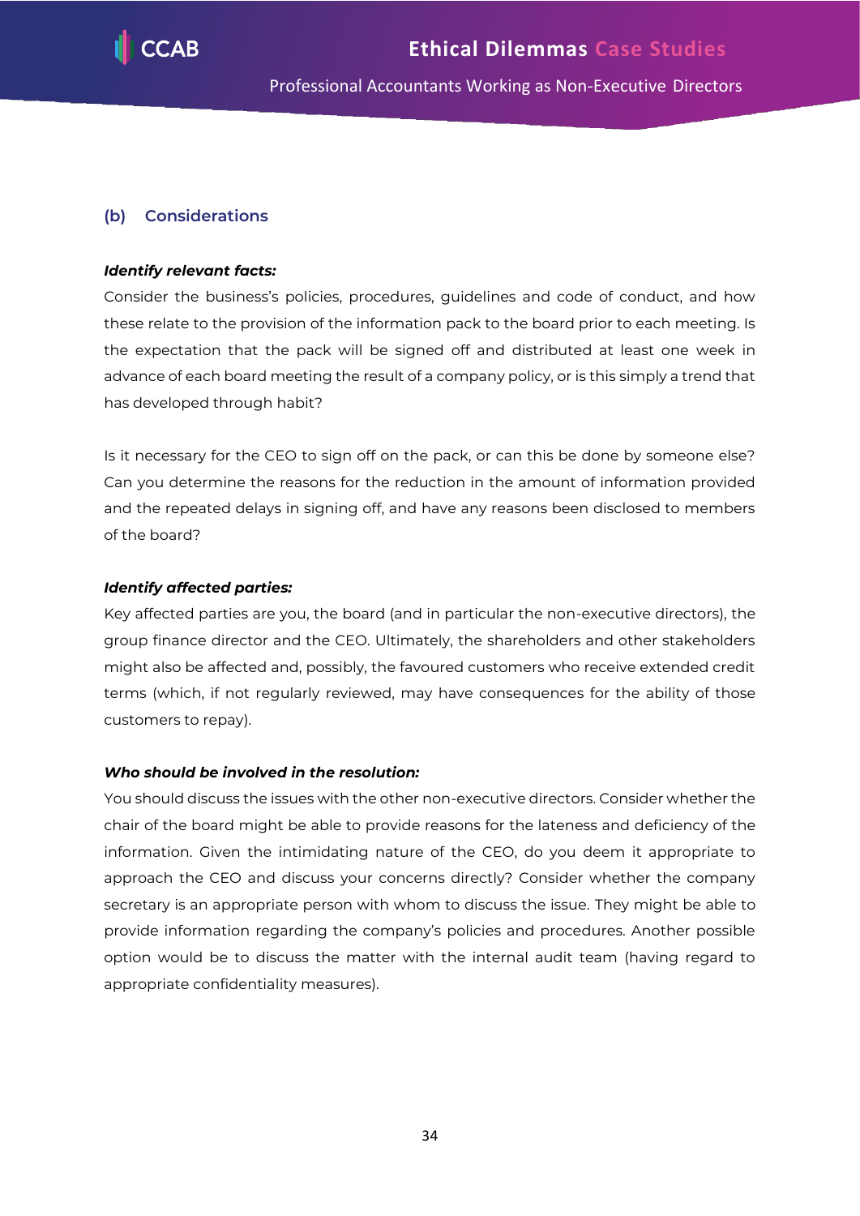

# **(b) Considerations**

#### *Identify relevant facts:*

Consider the business's policies, procedures, guidelines and code of conduct, and how these relate to the provision of the information pack to the board prior to each meeting. Is the expectation that the pack will be signed off and distributed at least one week in advance of each board meeting the result of a company policy, or is this simply a trend that has developed through habit?

Is it necessary for the CEO to sign off on the pack, or can this be done by someone else? Can you determine the reasons for the reduction in the amount of information provided and the repeated delays in signing off, and have any reasons been disclosed to members of the board?

#### *Identify affected parties:*

Key affected parties are you, the board (and in particular the non-executive directors), the group finance director and the CEO. Ultimately, the shareholders and other stakeholders might also be affected and, possibly, the favoured customers who receive extended credit terms (which, if not regularly reviewed, may have consequences for the ability of those customers to repay).

#### *Who should be involved in the resolution:*

You should discuss the issues with the other non-executive directors. Consider whether the chair of the board might be able to provide reasons for the lateness and deficiency of the information. Given the intimidating nature of the CEO, do you deem it appropriate to approach the CEO and discuss your concerns directly? Consider whether the company secretary is an appropriate person with whom to discuss the issue. They might be able to provide information regarding the company's policies and procedures. Another possible option would be to discuss the matter with the internal audit team (having regard to appropriate confidentiality measures).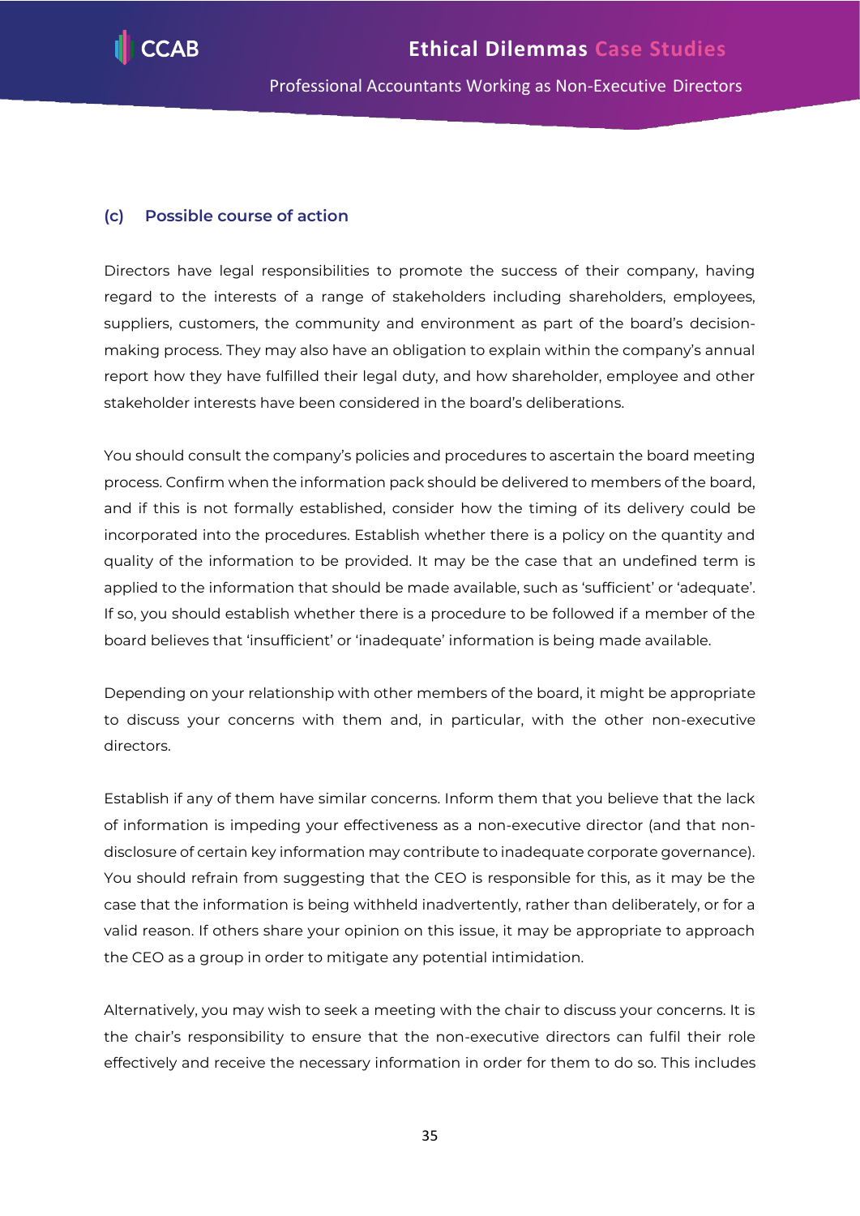

#### **(c) Possible course of action**

Directors have legal responsibilities to promote the success of their company, having regard to the interests of a range of stakeholders including shareholders, employees, suppliers, customers, the community and environment as part of the board's decisionmaking process. They may also have an obligation to explain within the company's annual report how they have fulfilled their legal duty, and how shareholder, employee and other stakeholder interests have been considered in the board's deliberations.

You should consult the company's policies and procedures to ascertain the board meeting process. Confirm when the information pack should be delivered to members of the board, and if this is not formally established, consider how the timing of its delivery could be incorporated into the procedures. Establish whether there is a policy on the quantity and quality of the information to be provided. It may be the case that an undefined term is applied to the information that should be made available, such as 'sufficient' or 'adequate'. If so, you should establish whether there is a procedure to be followed if a member of the board believes that 'insufficient' or 'inadequate' information is being made available.

Depending on your relationship with other members of the board, it might be appropriate to discuss your concerns with them and, in particular, with the other non-executive directors.

Establish if any of them have similar concerns. Inform them that you believe that the lack of information is impeding your effectiveness as a non-executive director (and that nondisclosure of certain key information may contribute to inadequate corporate governance). You should refrain from suggesting that the CEO is responsible for this, as it may be the case that the information is being withheld inadvertently, rather than deliberately, or for a valid reason. If others share your opinion on this issue, it may be appropriate to approach the CEO as a group in order to mitigate any potential intimidation.

Alternatively, you may wish to seek a meeting with the chair to discuss your concerns. It is the chair's responsibility to ensure that the non-executive directors can fulfil their role effectively and receive the necessary information in order for them to do so. This includes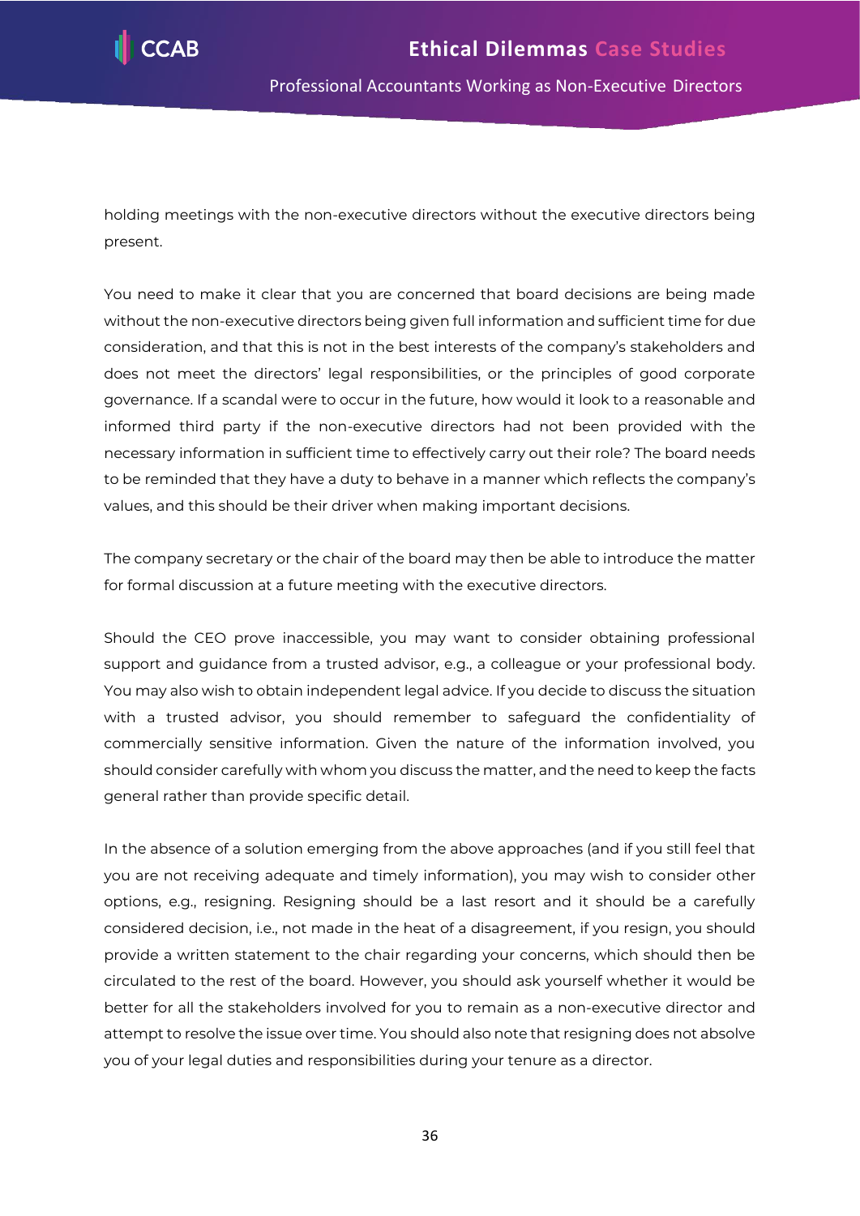

holding meetings with the non-executive directors without the executive directors being present.

You need to make it clear that you are concerned that board decisions are being made without the non-executive directors being given full information and sufficient time for due consideration, and that this is not in the best interests of the company's stakeholders and does not meet the directors' legal responsibilities, or the principles of good corporate governance. If a scandal were to occur in the future, how would it look to a reasonable and informed third party if the non-executive directors had not been provided with the necessary information in sufficient time to effectively carry out their role? The board needs to be reminded that they have a duty to behave in a manner which reflects the company's values, and this should be their driver when making important decisions.

The company secretary or the chair of the board may then be able to introduce the matter for formal discussion at a future meeting with the executive directors.

Should the CEO prove inaccessible, you may want to consider obtaining professional support and guidance from a trusted advisor, e.g., a colleague or your professional body. You may also wish to obtain independent legal advice. If you decide to discuss the situation with a trusted advisor, you should remember to safeguard the confidentiality of commercially sensitive information. Given the nature of the information involved, you should consider carefully with whom you discuss the matter, and the need to keep the facts general rather than provide specific detail.

In the absence of a solution emerging from the above approaches (and if you still feel that you are not receiving adequate and timely information), you may wish to consider other options, e.g., resigning. Resigning should be a last resort and it should be a carefully considered decision, i.e., not made in the heat of a disagreement, if you resign, you should provide a written statement to the chair regarding your concerns, which should then be circulated to the rest of the board. However, you should ask yourself whether it would be better for all the stakeholders involved for you to remain as a non-executive director and attempt to resolve the issue over time. You should also note that resigning does not absolve you of your legal duties and responsibilities during your tenure as a director.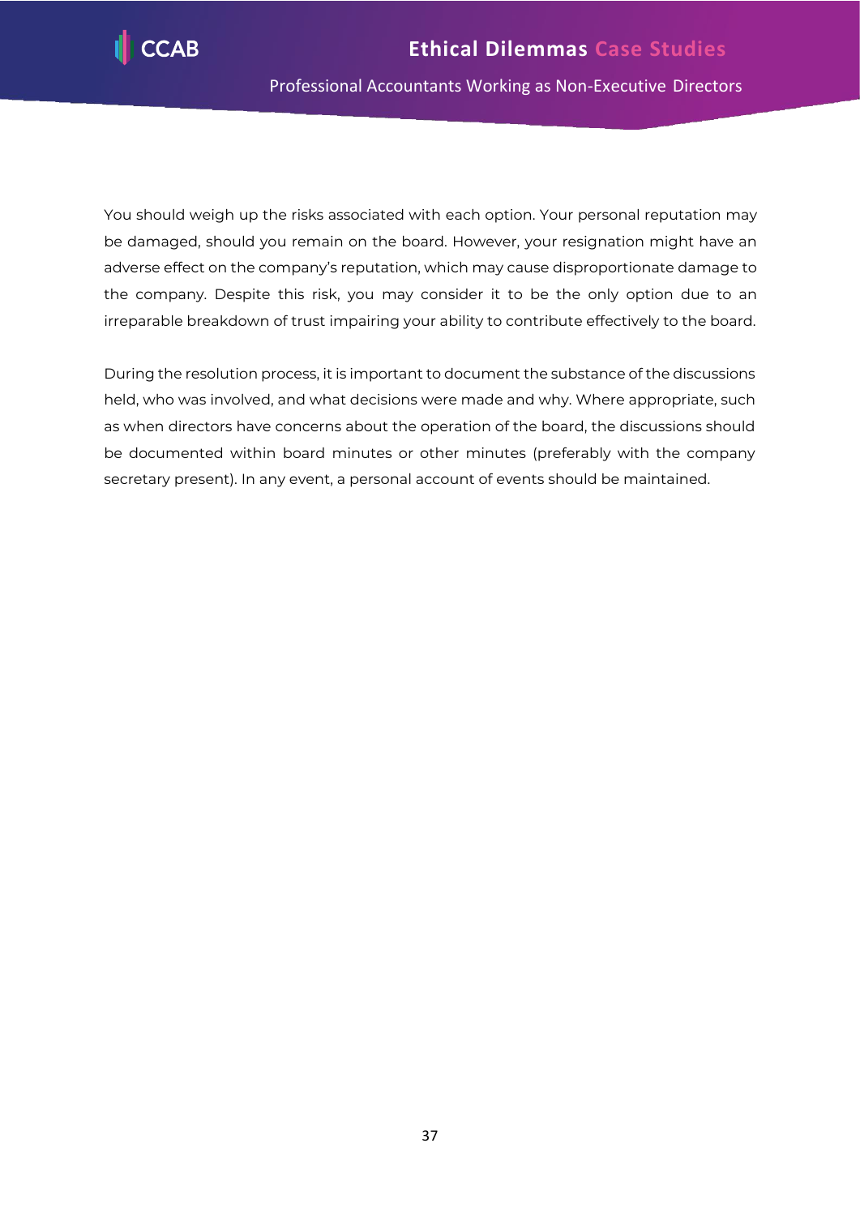

You should weigh up the risks associated with each option. Your personal reputation may be damaged, should you remain on the board. However, your resignation might have an adverse effect on the company's reputation, which may cause disproportionate damage to the company. Despite this risk, you may consider it to be the only option due to an irreparable breakdown of trust impairing your ability to contribute effectively to the board.

During the resolution process, it is important to document the substance of the discussions held, who was involved, and what decisions were made and why. Where appropriate, such as when directors have concerns about the operation of the board, the discussions should be documented within board minutes or other minutes (preferably with the company secretary present). In any event, a personal account of events should be maintained.